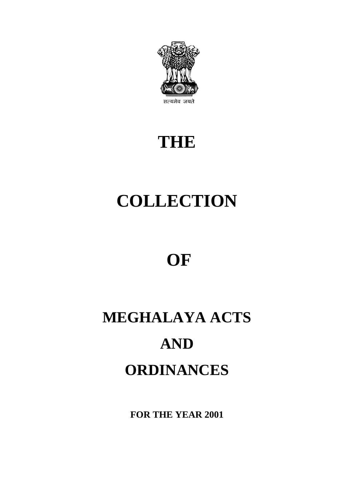

# **THE**

# **COLLECTION**

# **OF**

# **MEGHALAYA ACTS AND ORDINANCES**

**FOR THE YEAR 2001**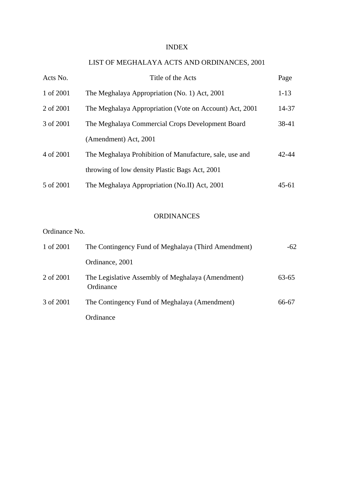#### INDEX

## LIST OF MEGHALAYA ACTS AND ORDINANCES, 2001

| Acts No.  | Title of the Acts                                       | Page      |
|-----------|---------------------------------------------------------|-----------|
| 1 of 2001 | The Meghalaya Appropriation (No. 1) Act, 2001           | $1 - 13$  |
| 2 of 2001 | The Meghalaya Appropriation (Vote on Account) Act, 2001 | 14-37     |
| 3 of 2001 | The Meghalaya Commercial Crops Development Board        | 38-41     |
|           | (Amendment) Act, 2001                                   |           |
| 4 of 2001 | The Meghalaya Prohibition of Manufacture, sale, use and | $42 - 44$ |
|           | throwing of low density Plastic Bags Act, 2001          |           |
| 5 of 2001 | The Meghalaya Appropriation (No.II) Act, 2001           | 45-61     |

#### ORDINANCES

#### Ordinance No.

| 1 of 2001 | The Contingency Fund of Meghalaya (Third Amendment)            | $-62$ |
|-----------|----------------------------------------------------------------|-------|
|           | Ordinance, 2001                                                |       |
| 2 of 2001 | The Legislative Assembly of Meghalaya (Amendment)<br>Ordinance | 63-65 |
| 3 of 2001 | The Contingency Fund of Meghalaya (Amendment)                  | 66-67 |
|           | Ordinance                                                      |       |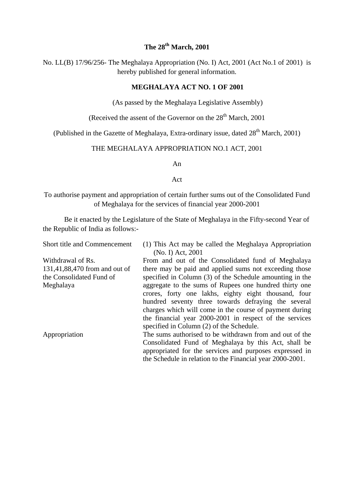### **The 28th March, 2001**

No. LL(B) 17/96/256- The Meghalaya Appropriation (No. I) Act, 2001 (Act No.1 of 2001) is hereby published for general information.

#### **MEGHALAYA ACT NO. 1 OF 2001**

(As passed by the Meghalaya Legislative Assembly)

(Received the assent of the Governor on the  $28<sup>th</sup>$  March, 2001

(Published in the Gazette of Meghalaya, Extra-ordinary issue, dated  $28<sup>th</sup>$  March, 2001)

#### THE MEGHALAYA APPROPRIATION NO.1 ACT, 2001

An

#### Act

To authorise payment and appropriation of certain further sums out of the Consolidated Fund of Meghalaya for the services of financial year 2000-2001

Be it enacted by the Legislature of the State of Meghalaya in the Fifty-second Year of the Republic of India as follows:-

| <b>Short title and Commencement</b> | (1) This Act may be called the Meghalaya Appropriation    |  |  |  |
|-------------------------------------|-----------------------------------------------------------|--|--|--|
|                                     | (No. I) Act, 2001                                         |  |  |  |
| Withdrawal of Rs.                   | From and out of the Consolidated fund of Meghalaya        |  |  |  |
| 131,41,88,470 from and out of       | there may be paid and applied sums not exceeding those    |  |  |  |
| the Consolidated Fund of            | specified in Column (3) of the Schedule amounting in the  |  |  |  |
| Meghalaya                           | aggregate to the sums of Rupees one hundred thirty one    |  |  |  |
|                                     | crores, forty one lakhs, eighty eight thousand, four      |  |  |  |
|                                     | hundred seventy three towards defraying the several       |  |  |  |
|                                     | charges which will come in the course of payment during   |  |  |  |
|                                     | the financial year 2000-2001 in respect of the services   |  |  |  |
|                                     | specified in Column (2) of the Schedule.                  |  |  |  |
| Appropriation                       | The sums authorised to be withdrawn from and out of the   |  |  |  |
|                                     | Consolidated Fund of Meghalaya by this Act, shall be      |  |  |  |
|                                     | appropriated for the services and purposes expressed in   |  |  |  |
|                                     | the Schedule in relation to the Financial year 2000-2001. |  |  |  |
|                                     |                                                           |  |  |  |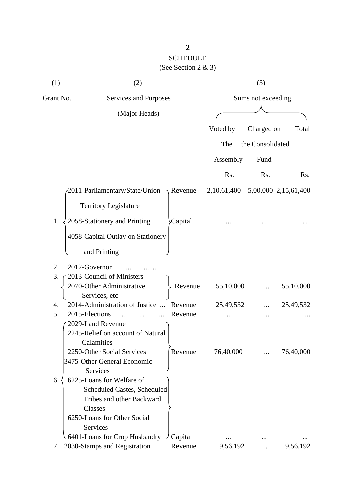# SCHEDULE (See Section 2 & 3)

| (1)       | (2)                                                       |                     |                    | (3)              |                      |
|-----------|-----------------------------------------------------------|---------------------|--------------------|------------------|----------------------|
| Grant No. | Services and Purposes                                     |                     | Sums not exceeding |                  |                      |
|           | (Major Heads)                                             |                     |                    |                  |                      |
|           |                                                           |                     | Voted by           | Charged on       | Total                |
|           |                                                           |                     |                    |                  |                      |
|           |                                                           |                     | The                | the Consolidated |                      |
|           |                                                           |                     | Assembly           | Fund             |                      |
|           |                                                           |                     | Rs.                | Rs.              | Rs.                  |
|           | 2011-Parliamentary/State/Union                            | $\setminus$ Revenue | 2, 10, 61, 400     |                  | 5,00,000 2,15,61,400 |
|           | <b>Territory Legislature</b>                              |                     |                    |                  |                      |
| 1.        | 2058-Stationery and Printing                              | Capital             |                    |                  |                      |
|           | 4058-Capital Outlay on Stationery                         |                     |                    |                  |                      |
|           | and Printing                                              |                     |                    |                  |                      |
| 2.        | 2012-Governor                                             |                     |                    |                  |                      |
| 3.        | 2013-Council of Ministers                                 |                     |                    |                  |                      |
|           | 2070-Other Administrative<br>Services, etc                | Revenue             | 55,10,000          |                  | 55,10,000            |
| 4.        | 2014-Administration of Justice                            | Revenue             | 25,49,532          |                  | 25,49,532            |
| 5.        | 2015-Elections                                            | Revenue             |                    |                  |                      |
|           | 2029-Land Revenue                                         |                     |                    |                  |                      |
|           | 2245-Relief on account of Natural                         |                     |                    |                  |                      |
|           | Calamities                                                |                     |                    |                  |                      |
|           | 2250-Other Social Services<br>3475-Other General Economic | Revenue             | 76,40,000          |                  | 76,40,000            |
|           | Services                                                  |                     |                    |                  |                      |
| 6.        | 6225-Loans for Welfare of                                 |                     |                    |                  |                      |
|           | Scheduled Castes, Scheduled                               |                     |                    |                  |                      |
|           | Tribes and other Backward                                 |                     |                    |                  |                      |
|           | Classes                                                   |                     |                    |                  |                      |
|           | 6250-Loans for Other Social                               |                     |                    |                  |                      |
|           | Services                                                  |                     |                    |                  |                      |
|           | 6401-Loans for Crop Husbandry                             | Capital             |                    |                  |                      |
| 7.        | 2030-Stamps and Registration                              | Revenue             | 9,56,192           |                  | 9,56,192             |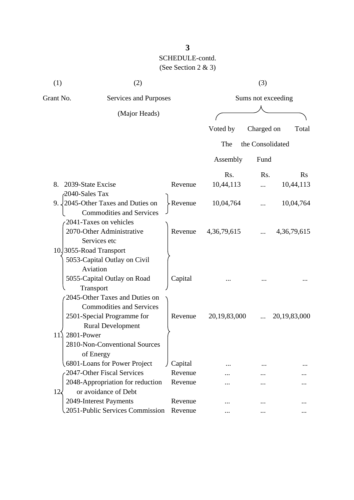| (1)                                | (2)                                         |                    |              | (3)              |                 |
|------------------------------------|---------------------------------------------|--------------------|--------------|------------------|-----------------|
| Grant No.<br>Services and Purposes |                                             | Sums not exceeding |              |                  |                 |
|                                    | (Major Heads)                               |                    |              |                  |                 |
|                                    |                                             |                    | Voted by     | Charged on       | Total           |
|                                    |                                             |                    |              |                  |                 |
|                                    |                                             |                    | The          | the Consolidated |                 |
|                                    |                                             |                    | Assembly     | Fund             |                 |
|                                    |                                             |                    | Rs.          | Rs.              | Rs              |
| 8.                                 | 2039-State Excise                           | Revenue            | 10,44,113    |                  | 10,44,113       |
| 2040-Sales Tax                     |                                             |                    |              |                  |                 |
|                                    | 9. $\sqrt{2045}$ -Other Taxes and Duties on | $\angle$ Revenue   | 10,04,764    | .                | 10,04,764       |
|                                    | <b>Commodities and Services</b>             |                    |              |                  |                 |
|                                    | 2041-Taxes on vehicles                      |                    |              |                  |                 |
|                                    | 2070-Other Administrative                   | Revenue            | 4,36,79,615  |                  | 4, 36, 79, 615  |
|                                    | Services etc                                |                    |              |                  |                 |
|                                    | 10.3055-Road Transport                      |                    |              |                  |                 |
|                                    | 5053-Capital Outlay on Civil                |                    |              |                  |                 |
|                                    | Aviation                                    |                    |              |                  |                 |
|                                    | 5055-Capital Outlay on Road                 | Capital            |              |                  |                 |
|                                    | Transport                                   |                    |              |                  |                 |
|                                    | 2045-Other Taxes and Duties on              |                    |              |                  |                 |
|                                    | <b>Commodities and Services</b>             |                    |              |                  |                 |
|                                    | 2501-Special Programme for                  | Revenue            | 20,19,83,000 |                  | 20, 19, 83, 000 |
|                                    | <b>Rural Development</b>                    |                    |              |                  |                 |
| 2801-Power<br>11.                  |                                             |                    |              |                  |                 |
|                                    | 2810-Non-Conventional Sources               |                    |              |                  |                 |
|                                    | of Energy                                   |                    |              |                  |                 |
|                                    | 6801-Loans for Power Project                | Capital            |              |                  |                 |
|                                    | 2047-Other Fiscal Services                  | Revenue            |              |                  |                 |
|                                    | 2048-Appropriation for reduction            | Revenue            |              |                  |                 |
| $12\epsilon$                       | or avoidance of Debt                        |                    |              |                  |                 |
|                                    | 2049-Interest Payments                      | Revenue            |              |                  |                 |
|                                    | 2051-Public Services Commission             | Revenue            |              |                  |                 |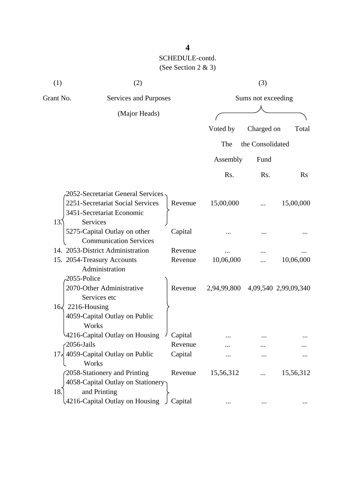| (1)                      | (2)                                                                                                 |         | (3)         |                    |                      |
|--------------------------|-----------------------------------------------------------------------------------------------------|---------|-------------|--------------------|----------------------|
| Grant No.                | Services and Purposes                                                                               |         |             | Sums not exceeding |                      |
|                          | (Major Heads)                                                                                       |         |             |                    |                      |
|                          |                                                                                                     |         | Voted by    | Charged on         | Total                |
|                          |                                                                                                     |         | The         | the Consolidated   |                      |
|                          |                                                                                                     |         | Assembly    | Fund               |                      |
|                          |                                                                                                     |         | Rs.         | Rs.                | Rs                   |
|                          | -2052-Secretariat General Services<br>2251-Secretariat Social Services<br>3451-Secretariat Economic | Revenue | 15,00,000   |                    | 15,00,000            |
| 13.5                     | Services<br>5275-Capital Outlay on other<br><b>Communication Services</b>                           | Capital |             |                    |                      |
|                          | 14. 2053-District Administration                                                                    | Revenue |             |                    |                      |
| 2055-Police              | 15. 2054-Treasury Accounts<br>Administration                                                        | Revenue | 10,06,000   |                    | 10,06,000            |
|                          | 2070-Other Administrative<br>Services etc                                                           | Revenue | 2,94,99,800 |                    | 4,09,540 2,99,09,340 |
| $16\sqrt{2216}$ -Housing | 4059-Capital Outlay on Public<br>Works                                                              |         |             |                    |                      |
|                          | 4216-Capital Outlay on Housing                                                                      | Capital |             |                    |                      |
| $-2056$ -Jails           |                                                                                                     | Revenue |             | $\cdots$           |                      |
|                          | 17, 4059-Capital Outlay on Public<br>Works                                                          | Capital |             |                    |                      |
| 18.                      | 2058-Stationery and Printing<br>4058-Capital Outlay on Stationery<br>and Printing                   | Revenue | 15,56,312   |                    | 15,56,312            |
|                          | 4216-Capital Outlay on Housing J                                                                    | Capital |             |                    |                      |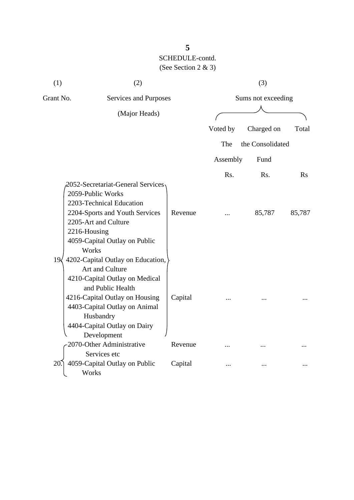| (1)                                | (2)                                                                                                                                                                                                                                        |                    | (3)      |                  |        |
|------------------------------------|--------------------------------------------------------------------------------------------------------------------------------------------------------------------------------------------------------------------------------------------|--------------------|----------|------------------|--------|
| Grant No.<br>Services and Purposes |                                                                                                                                                                                                                                            | Sums not exceeding |          |                  |        |
|                                    | (Major Heads)                                                                                                                                                                                                                              |                    |          |                  |        |
|                                    |                                                                                                                                                                                                                                            |                    | Voted by | Charged on       | Total  |
|                                    |                                                                                                                                                                                                                                            |                    | The      | the Consolidated |        |
|                                    |                                                                                                                                                                                                                                            |                    | Assembly | Fund             |        |
|                                    |                                                                                                                                                                                                                                            |                    | Rs.      | Rs.              | Rs     |
|                                    | 2052-Secretariat-General Services<br>2059-Public Works<br>2203-Technical Education<br>2204-Sports and Youth Services<br>2205-Art and Culture<br>2216-Housing<br>4059-Capital Outlay on Public<br>Works                                     | Revenue            |          | 85,787           | 85,787 |
| $19\sqrt{ }$                       | 4202-Capital Outlay on Education,<br>Art and Culture<br>4210-Capital Outlay on Medical<br>and Public Health<br>4216-Capital Outlay on Housing<br>4403-Capital Outlay on Animal<br>Husbandry<br>4404-Capital Outlay on Dairy<br>Development | Capital            |          |                  |        |
|                                    | 2070-Other Administrative                                                                                                                                                                                                                  | Revenue            | .        |                  |        |
| 20                                 | Services etc<br>4059-Capital Outlay on Public<br>Works                                                                                                                                                                                     | Capital            |          |                  |        |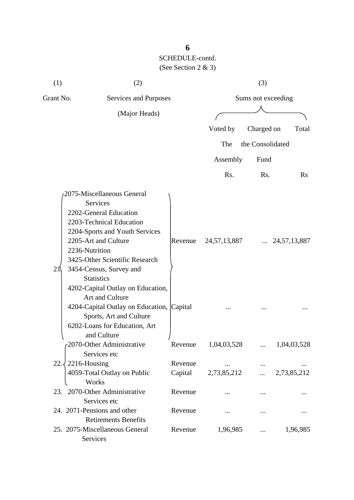| (1)                                | (2)                                                                                                                                                                                                                                                                                                                                                                                                                                |                    |                 | (3)              |                       |
|------------------------------------|------------------------------------------------------------------------------------------------------------------------------------------------------------------------------------------------------------------------------------------------------------------------------------------------------------------------------------------------------------------------------------------------------------------------------------|--------------------|-----------------|------------------|-----------------------|
| Grant No.<br>Services and Purposes |                                                                                                                                                                                                                                                                                                                                                                                                                                    | Sums not exceeding |                 |                  |                       |
|                                    | (Major Heads)                                                                                                                                                                                                                                                                                                                                                                                                                      |                    |                 |                  |                       |
|                                    |                                                                                                                                                                                                                                                                                                                                                                                                                                    |                    | Voted by        | Charged on       | Total                 |
|                                    |                                                                                                                                                                                                                                                                                                                                                                                                                                    |                    | The             | the Consolidated |                       |
|                                    |                                                                                                                                                                                                                                                                                                                                                                                                                                    |                    | Assembly        | Fund             |                       |
|                                    |                                                                                                                                                                                                                                                                                                                                                                                                                                    |                    | Rs.             | Rs.              | $\rm Rs$              |
| 21                                 | 2075-Miscellaneous General<br><b>Services</b><br>2202-General Education<br>2203-Technical Education<br>2204-Sports and Youth Services<br>2205-Art and Culture<br>2236-Nutrition<br>3425-Other Scientific Research<br>3454-Census, Survey and<br><b>Statistics</b><br>4202-Capital Outlay on Education,<br>Art and Culture<br>4204-Capital Outlay on Education, Capital<br>Sports, Art and Culture<br>6202-Loans for Education, Art | Revenue            | 24, 57, 13, 887 |                  | $\ldots$ 24,57,13,887 |
|                                    | and Culture<br>2070-Other Administrative<br>Services etc                                                                                                                                                                                                                                                                                                                                                                           | Revenue            | 1,04,03,528     |                  | 1,04,03,528           |
| 22.3                               | 2216-Housing<br>4059-Total Outlay on Public<br>Works                                                                                                                                                                                                                                                                                                                                                                               | Revenue<br>Capital | 2,73,85,212     | $\cdots$         | 2,73,85,212           |
|                                    | 23. 2070-Other Administrative<br>Services etc                                                                                                                                                                                                                                                                                                                                                                                      | Revenue            |                 |                  |                       |
|                                    | 24. 2071-Pensions and other<br><b>Retirements Benefits</b>                                                                                                                                                                                                                                                                                                                                                                         | Revenue            |                 |                  |                       |
|                                    | 25. 2075-Miscellaneous General<br>Services                                                                                                                                                                                                                                                                                                                                                                                         | Revenue            | 1,96,985        |                  | 1,96,985              |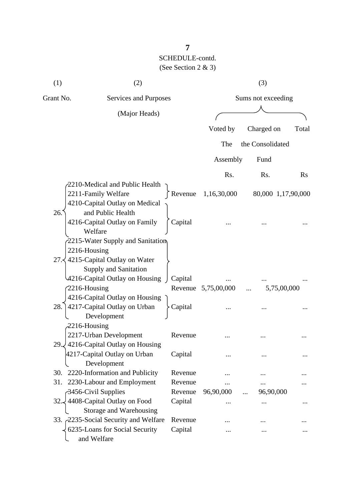| (1)                                | (2)                                                                                     |                    | (3)                 |                        |                    |
|------------------------------------|-----------------------------------------------------------------------------------------|--------------------|---------------------|------------------------|--------------------|
| Grant No.<br>Services and Purposes |                                                                                         | Sums not exceeding |                     |                        |                    |
|                                    | (Major Heads)                                                                           |                    |                     |                        |                    |
|                                    |                                                                                         |                    | Voted by            | Charged on             | Total              |
|                                    |                                                                                         |                    | The                 | the Consolidated       |                    |
|                                    |                                                                                         |                    | Assembly            | Fund                   |                    |
|                                    |                                                                                         |                    | Rs.                 | Rs.                    | <b>Rs</b>          |
|                                    | 2210-Medical and Public Health<br>2211-Family Welfare<br>4210-Capital Outlay on Medical |                    | Revenue 1,16,30,000 |                        | 80,000 1,17,90,000 |
| 26.                                | and Public Health<br>4216-Capital Outlay on Family<br>Welfare                           | Capital            |                     |                        |                    |
| 2216-Housing                       | 2215-Water Supply and Sanitation<br>27. $\langle$ 4215-Capital Outlay on Water          |                    |                     |                        |                    |
| 2216-Housing                       | Supply and Sanitation<br>4216-Capital Outlay on Housing                                 | Capital            | Revenue 5,75,00,000 |                        | 5,75,00,000        |
| 28.                                | 4216-Capital Outlay on Housing<br>4217-Capital Outlay on Urban<br>Development           | Capital            |                     |                        |                    |
| $-2216$ -Housing                   | 2217-Urban Development<br>29. 4216-Capital Outlay on Housing                            | Revenue            |                     |                        |                    |
|                                    | 4217-Capital Outlay on Urban<br>Development                                             | Capital            |                     |                        |                    |
| 30.                                | 2220-Information and Publicity                                                          | Revenue            |                     |                        |                    |
| 31.                                | 2230-Labour and Employment                                                              | Revenue            |                     |                        |                    |
|                                    | 3456-Civil Supplies<br>32. 4408-Capital Outlay on Food<br>Storage and Warehousing       | Revenue<br>Capital | 96,90,000<br>       | 96,90,000<br>$\ddotsc$ |                    |
|                                    | 33. 2235-Social Security and Welfare<br>6235-Loans for Social Security<br>and Welfare   | Revenue<br>Capital |                     |                        |                    |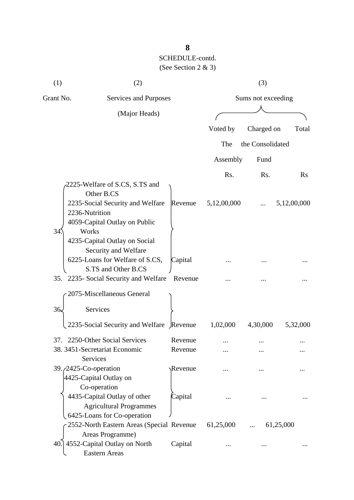| (1)                                | (2)                                                                                                                                                                         |         |                    | (3)              |             |
|------------------------------------|-----------------------------------------------------------------------------------------------------------------------------------------------------------------------------|---------|--------------------|------------------|-------------|
| Grant No.<br>Services and Purposes |                                                                                                                                                                             |         | Sums not exceeding |                  |             |
|                                    | (Major Heads)                                                                                                                                                               |         |                    |                  |             |
|                                    |                                                                                                                                                                             |         | Voted by           | Charged on       | Total       |
|                                    |                                                                                                                                                                             |         | The                | the Consolidated |             |
|                                    |                                                                                                                                                                             |         |                    |                  |             |
|                                    |                                                                                                                                                                             |         | Assembly           | Fund             |             |
|                                    |                                                                                                                                                                             |         | Rs.                | Rs.              | $\rm Rs$    |
|                                    | 2225-Welfare of S.CS, S.TS and<br>Other B.CS<br>2235-Social Security and Welfare                                                                                            | Revenue | 5,12,00,000        |                  | 5,12,00,000 |
| 34                                 | 2236-Nutrition<br>4059-Capital Outlay on Public<br>Works<br>4235-Capital Outlay on Social<br>Security and Welfare<br>6225-Loans for Welfare of S.CS,<br>S.TS and Other B.CS | Capital |                    |                  |             |
|                                    | 35. 2235- Social Security and Welfare                                                                                                                                       | Revenue |                    |                  |             |
|                                    | 2075-Miscellaneous General                                                                                                                                                  |         |                    |                  |             |
| 36.                                | <b>Services</b>                                                                                                                                                             |         |                    |                  |             |
|                                    | 2235-Social Security and Welfare Revenue                                                                                                                                    |         | 1,02,000           | 4,30,000         | 5,32,000    |
| 37.                                | 2250-Other Social Services                                                                                                                                                  | Revenue |                    |                  |             |
|                                    | 38. 3451-Secretariat Economic<br><b>Services</b>                                                                                                                            | Revenue |                    |                  |             |
|                                    | 39. <i>(2425-Co-operation</i> )<br>4425-Capital Outlay on<br>Co-operation                                                                                                   | Revenue |                    |                  |             |
|                                    | 4435-Capital Outlay of other<br><b>Agricultural Programmes</b><br>6425-Loans for Co-operation                                                                               | Capital |                    |                  |             |
|                                    | 2552-North Eastern Areas (Special Revenue                                                                                                                                   |         | 61,25,000          |                  | 61,25,000   |
|                                    | Areas Programme)<br>40.] 4552-Capital Outlay on North<br><b>Eastern Areas</b>                                                                                               | Capital |                    |                  |             |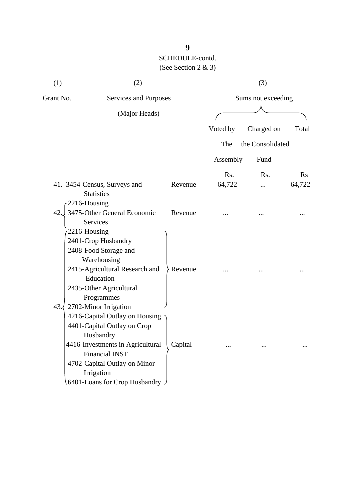| (1)                                 | (2)                                                                                                                                                                                                                                             |                    | (3)                |                  |                |
|-------------------------------------|-------------------------------------------------------------------------------------------------------------------------------------------------------------------------------------------------------------------------------------------------|--------------------|--------------------|------------------|----------------|
| Grant No.                           | Services and Purposes<br>(Major Heads)                                                                                                                                                                                                          |                    | Sums not exceeding |                  |                |
|                                     |                                                                                                                                                                                                                                                 |                    |                    |                  |                |
|                                     |                                                                                                                                                                                                                                                 |                    | Voted by           | Charged on       | Total          |
|                                     |                                                                                                                                                                                                                                                 |                    | The                | the Consolidated |                |
|                                     |                                                                                                                                                                                                                                                 |                    | Assembly           | Fund             |                |
|                                     |                                                                                                                                                                                                                                                 |                    | Rs.                | Rs.              | $\mathbf{R}$ s |
|                                     | 41. 3454-Census, Surveys and                                                                                                                                                                                                                    | Revenue            | 64,722             | .                | 64,722         |
| 2216-Housing<br>42.<br>2216-Housing | <b>Statistics</b><br>3475-Other General Economic<br><b>Services</b><br>2401-Crop Husbandry<br>2408-Food Storage and<br>Warehousing<br>2415-Agricultural Research and<br>Education<br>2435-Other Agricultural<br>Programmes                      | Revenue<br>Revenue |                    |                  |                |
| 43.                                 | 2702-Minor Irrigation<br>4216-Capital Outlay on Housing<br>4401-Capital Outlay on Crop<br>Husbandry<br>4416-Investments in Agricultural<br><b>Financial INST</b><br>4702-Capital Outlay on Minor<br>Irrigation<br>6401-Loans for Crop Husbandry | Capital            |                    |                  |                |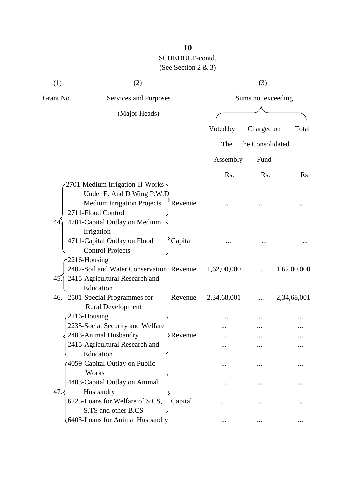| (1)       | (2)                                                                                                                                                      |                        | (3)                |             |  |
|-----------|----------------------------------------------------------------------------------------------------------------------------------------------------------|------------------------|--------------------|-------------|--|
| Grant No. | Services and Purposes                                                                                                                                    |                        | Sums not exceeding |             |  |
|           | (Major Heads)                                                                                                                                            |                        |                    |             |  |
|           |                                                                                                                                                          | Voted by               | Charged on         | Total       |  |
|           |                                                                                                                                                          | The                    | the Consolidated   |             |  |
|           |                                                                                                                                                          | Assembly               | Fund               |             |  |
|           |                                                                                                                                                          | R <sub>s</sub> .       | R <sub>s</sub> .   | Rs          |  |
| 44.       | 2701-Medium Irrigation-II-Works<br>Under E. And D Wing P.W.D<br><b>Medium Irrigation Projects</b><br>2711-Flood Control<br>4701-Capital Outlay on Medium | Revenue                |                    |             |  |
|           | Irrigation<br>4711-Capital Outlay on Flood<br><b>Control Projects</b>                                                                                    | Capital                |                    |             |  |
| 45.       | $-2216$ -Housing<br>2402-Soil and Water Conservation Revenue<br>2415-Agricultural Research and                                                           | 1,62,00,000            |                    | 1,62,00,000 |  |
|           | Education<br>46. 2501-Special Programmes for<br><b>Rural Development</b>                                                                                 | 2,34,68,001<br>Revenue |                    | 2,34,68,001 |  |
|           | 2216-Housing                                                                                                                                             |                        |                    |             |  |
|           | 2235-Social Security and Welfare                                                                                                                         |                        |                    |             |  |
|           | 2403-Animal Husbandry                                                                                                                                    | <b>Revenue</b>         |                    |             |  |
|           | 2415-Agricultural Research and                                                                                                                           | $\cdots$               |                    |             |  |
|           | Education<br>4059-Capital Outlay on Public<br>Works                                                                                                      |                        |                    |             |  |
|           | 4403-Capital Outlay on Animal                                                                                                                            |                        |                    |             |  |
| 47.       | Husbandry<br>6225-Loans for Welfare of S.CS,<br>S.TS and other B.CS                                                                                      | Capital                |                    |             |  |
|           | 6403-Loans for Animal Husbandry                                                                                                                          |                        |                    |             |  |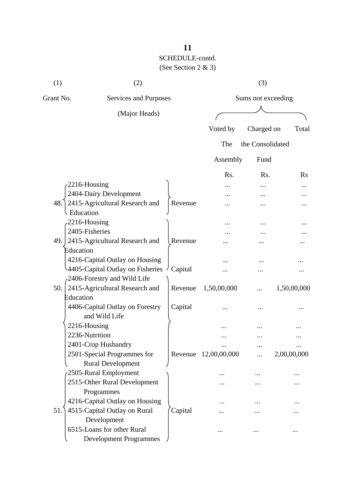# SCHEDULE-contd.

(See Section 2 & 3)

| (1)         | (2)                                                     |         |                      | (3)                |             |
|-------------|---------------------------------------------------------|---------|----------------------|--------------------|-------------|
| Grant No.   | Services and Purposes                                   |         |                      | Sums not exceeding |             |
|             | (Major Heads)                                           |         |                      |                    |             |
|             |                                                         |         | Voted by             | Charged on         | Total       |
|             |                                                         |         | The                  | the Consolidated   |             |
|             |                                                         |         | Assembly             | Fund               |             |
|             |                                                         |         | R <sub>s</sub> .     | R <sub>s</sub> .   | $\rm Rs$    |
|             | $-2216$ -Housing                                        |         |                      |                    |             |
|             | 2404-Dairy Development                                  |         |                      |                    |             |
| 48.         | 2415-Agricultural Research and                          | Revenue | .                    |                    |             |
| - Education |                                                         |         |                      |                    |             |
|             | 2216-Housing                                            |         |                      |                    |             |
|             | 2405-Fisheries                                          |         |                      |                    |             |
| 49.         | 2415-Agricultural Research and                          | Revenue |                      |                    |             |
| Education   |                                                         |         |                      |                    |             |
|             | 4216-Capital Outlay on Housing                          |         |                      |                    |             |
|             | 4405-Capital Outlay on Fisheries                        | Capital |                      |                    |             |
|             | 2406-Forestry and Wild Life                             |         |                      |                    |             |
| 50.         | 2415-Agricultural Research and                          | Revenue | 1,50,00,000          | .                  | 1,50,00,000 |
| Education   |                                                         |         |                      |                    |             |
|             | 4406-Capital Outlay on Forestry                         | Capital |                      |                    |             |
|             | and Wild Life                                           |         |                      |                    |             |
|             | 2216-Housing                                            |         |                      |                    |             |
|             | 2236-Nutrition                                          |         |                      |                    |             |
|             | 2401-Crop Husbandry                                     |         |                      |                    |             |
|             | 2501-Special Programmes for<br><b>Rural Development</b> |         | Revenue 12,00,00,000 |                    | 2,00,00,000 |
|             | 2505-Rural Employment                                   |         |                      |                    |             |
|             | 2515-Other Rural Development                            |         |                      |                    |             |
|             | Programmes                                              |         |                      |                    |             |
|             | 4216-Capital Outlay on Housing                          |         |                      |                    |             |
| 51.         | 4515-Capital Outlay on Rural                            | Capital |                      |                    |             |
|             | Development                                             |         |                      |                    |             |
|             | 6515-Loans for other Rural                              |         |                      |                    |             |
|             | <b>Development Programmes</b>                           |         |                      |                    |             |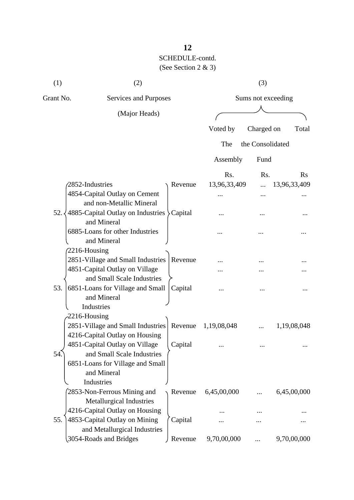(1)  $(2)$   $(3)$ Grant No. Services and Purposes Sums not exceeding (Major Heads) Voted by Charged on Total The the Consolidated Assembly Fund Rs. Rs. Rs. (2852-Industries ) Revenue 13,96,33,409 ... 13,96,33,409 4854-Capital Outlay on Cement ... ... ... and non-Metallic Mineral  $52. \times 4885$ -Capital Outlay on Industries  $\text{Capital}$  ... ... ... ... ... ... and Mineral 6885-Loans for other Industries  $\qquad \qquad \ldots \qquad \ldots \qquad \ldots$  and Mineral 2216-Housing 2851-Village and Small Industries Revenue ... ... ... ... ... ... ... ... ... 4851-Capital Outlay on Village  $\overline{\phantom{a}}$  ... ... ... ... ... ... and Small Scale Industries 53.  $\vert$  6851-Loans for Village and Small  $\vert$  Capital ... ... ... ... ... ... ...

|     | and Mineral                               |         |             |   |             |
|-----|-------------------------------------------|---------|-------------|---|-------------|
|     | Industries                                |         |             |   |             |
|     | $-2216$ -Housing                          |         |             |   |             |
|     | 2851-Village and Small Industries Revenue |         | 1,19,08,048 |   | 1,19,08,048 |
|     | 4216-Capital Outlay on Housing            |         |             |   |             |
|     | 4851-Capital Outlay on Village            | Capital |             |   |             |
| 54. | and Small Scale Industries                |         |             |   |             |
|     | 6851-Loans for Village and Small          |         |             |   |             |
|     | and Mineral                               |         |             |   |             |
|     | Industries                                |         |             |   |             |
|     | 2853-Non-Ferrous Mining and               | Revenue | 6,45,00,000 |   | 6,45,00,000 |
|     | Metallurgical Industries                  |         |             |   |             |
|     | 4216-Capital Outlay on Housing            |         |             |   |             |
| 55. | 4853-Capital Outlay on Mining             | Capital |             |   |             |
|     | and Metallurgical Industries              |         |             |   |             |
|     | 3054-Roads and Bridges                    | Revenue | 9,70,00,000 | . | 9,70,00,000 |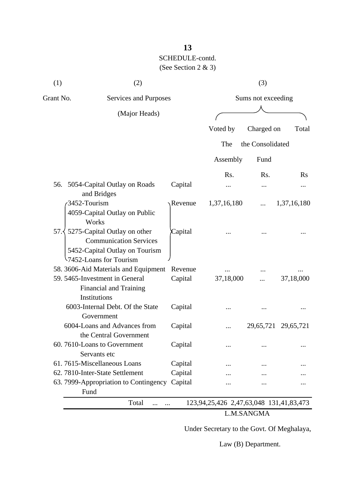| (1)       | (2)                                                                                                                                         |         |                                         | (3)                |             |
|-----------|---------------------------------------------------------------------------------------------------------------------------------------------|---------|-----------------------------------------|--------------------|-------------|
| Grant No. | Services and Purposes                                                                                                                       |         |                                         | Sums not exceeding |             |
|           | (Major Heads)                                                                                                                               |         |                                         |                    |             |
|           |                                                                                                                                             |         | Voted by                                | Charged on         | Total       |
|           |                                                                                                                                             |         | The                                     | the Consolidated   |             |
|           |                                                                                                                                             |         | Assembly                                | Fund               |             |
|           |                                                                                                                                             |         | Rs.                                     | Rs.                | <b>Rs</b>   |
|           | 56. 5054-Capital Outlay on Roads<br>and Bridges                                                                                             | Capital |                                         |                    |             |
|           | 3452-Tourism<br>4059-Capital Outlay on Public<br>Works                                                                                      | Revenue | 1,37,16,180                             |                    | 1,37,16,180 |
|           | 57. $\frac{1}{2}$ 5275-Capital Outlay on other<br><b>Communication Services</b><br>5452-Capital Outlay on Tourism<br>7452-Loans for Tourism | Capital |                                         |                    |             |
|           | 58. 3606-Aid Materials and Equipment                                                                                                        | Revenue |                                         |                    |             |
|           | 59. 5465-Investment in General<br>Financial and Training<br>Institutions                                                                    | Capital | 37,18,000                               |                    | 37,18,000   |
|           | 6003-Internal Debt. Of the State<br>Government                                                                                              | Capital |                                         |                    |             |
|           | 6004-Loans and Advances from<br>the Central Government                                                                                      | Capital |                                         | 29,65,721          | 29,65,721   |
|           | 60. 7610-Loans to Government<br>Servants etc                                                                                                | Capital |                                         |                    |             |
|           | 61.7615-Miscellaneous Loans                                                                                                                 | Capital |                                         |                    |             |
|           | 62. 7810-Inter-State Settlement                                                                                                             | Capital |                                         |                    |             |
|           | 63. 7999-Appropriation to Contingency Capital<br>Fund                                                                                       |         |                                         |                    |             |
|           | Total<br>.<br>$\cdots$                                                                                                                      |         | 123,94,25,426 2,47,63,048 131,41,83,473 |                    |             |
|           |                                                                                                                                             |         |                                         | L.M.SANGMA         |             |

Under Secretary to the Govt. Of Meghalaya,

Law (B) Department.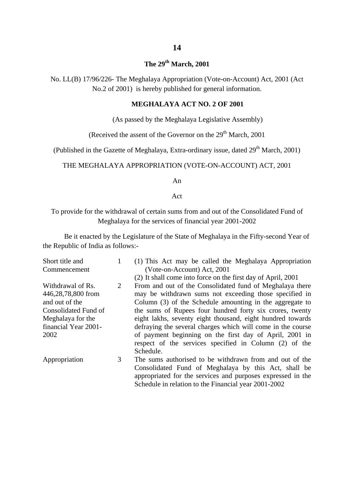### **The 29th March, 2001**

No. LL(B) 17/96/226- The Meghalaya Appropriation (Vote-on-Account) Act, 2001 (Act No.2 of 2001) is hereby published for general information.

#### **MEGHALAYA ACT NO. 2 OF 2001**

(As passed by the Meghalaya Legislative Assembly)

(Received the assent of the Governor on the  $29<sup>th</sup>$  March, 2001)

(Published in the Gazette of Meghalaya, Extra-ordinary issue, dated  $29<sup>th</sup>$  March, 2001)

#### THE MEGHALAYA APPROPRIATION (VOTE-ON-ACCOUNT) ACT, 2001

An

Act

To provide for the withdrawal of certain sums from and out of the Consolidated Fund of Meghalaya for the services of financial year 2001-2002

Be it enacted by the Legislature of the State of Meghalaya in the Fifty-second Year of the Republic of India as follows:-

| Short title and      | 1 | (1) This Act may be called the Meghalaya Appropriation       |
|----------------------|---|--------------------------------------------------------------|
| Commencement         |   | (Vote-on-Account) Act, 2001                                  |
|                      |   | (2) It shall come into force on the first day of April, 2001 |
| Withdrawal of Rs.    | 2 | From and out of the Consolidated fund of Meghalaya there     |
| 446,28,78,800 from   |   | may be withdrawn sums not exceeding those specified in       |
| and out of the       |   | Column (3) of the Schedule amounting in the aggregate to     |
| Consolidated Fund of |   | the sums of Rupees four hundred forty six crores, twenty     |
| Meghalaya for the    |   | eight lakhs, seventy eight thousand, eight hundred towards   |
| financial Year 2001- |   | defraying the several charges which will come in the course  |
| 2002                 |   | of payment beginning on the first day of April, 2001 in      |
|                      |   | respect of the services specified in Column (2) of the       |
|                      |   | Schedule.                                                    |
| Appropriation        | 3 | The sums authorised to be withdrawn from and out of the      |
|                      |   | Consolidated Fund of Meghalaya by this Act, shall be         |
|                      |   | appropriated for the services and purposes expressed in the  |
|                      |   | Schedule in relation to the Financial year 2001-2002         |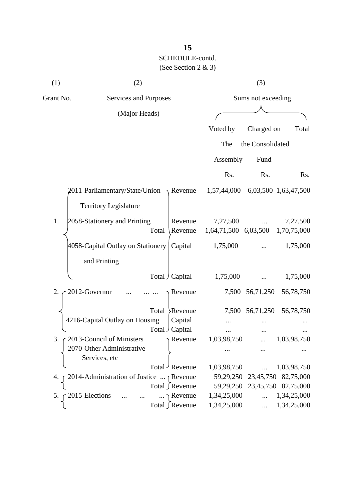| (1)       | (2)                                       |       | (3)                   |                                              |                  |                                     |
|-----------|-------------------------------------------|-------|-----------------------|----------------------------------------------|------------------|-------------------------------------|
| Grant No. | <b>Services and Purposes</b>              |       | Sums not exceeding    |                                              |                  |                                     |
|           | (Major Heads)                             |       |                       |                                              |                  |                                     |
|           |                                           |       |                       | Voted by                                     | Charged on       | Total                               |
|           |                                           |       |                       | The                                          | the Consolidated |                                     |
|           |                                           |       |                       | Assembly                                     | Fund             |                                     |
|           |                                           |       |                       | Rs.                                          | Rs.              | Rs.                                 |
|           | $2011$ -Parliamentary/State/Union Revenue |       |                       | 1,57,44,000                                  |                  | 6,03,500 1,63,47,500                |
|           | <b>Territory Legislature</b>              |       |                       |                                              |                  |                                     |
| 1.        | 2058-Stationery and Printing              | Total | Revenue<br>Revenue    | 7,27,500<br>1,64,71,500 6,03,500 1,70,75,000 |                  | 7,27,500                            |
|           | 4058-Capital Outlay on Stationery         |       | Capital               | 1,75,000                                     |                  | 1,75,000                            |
|           | and Printing                              |       |                       |                                              |                  |                                     |
|           |                                           |       | Total / Capital       | 1,75,000                                     |                  | 1,75,000                            |
| 2.        | 2012-Governor                             |       | Revenue               | 7,500                                        | 56,71,250        | 56,78,750                           |
|           |                                           | Total | Revenue               |                                              | 7,500 56,71,250  | 56,78,750                           |
|           | 4216-Capital Outlay on Housing            |       | Capital               |                                              |                  |                                     |
|           |                                           |       | Total Capital         |                                              |                  |                                     |
| 3.        | 2013-Council of Ministers                 |       | $\gamma$ Revenue      | 1,03,98,750                                  |                  | 1,03,98,750                         |
|           | 2070-Other Administrative                 |       |                       |                                              |                  |                                     |
|           | Services, etc                             |       |                       |                                              |                  |                                     |
|           |                                           |       | Total Revenue         | 1,03,98,750                                  | $\cdots$         | 1,03,98,750                         |
| 4.        | 2014-Administration of Justice  Revenue   |       |                       |                                              |                  | 59, 29, 250 23, 45, 750 82, 75, 000 |
|           |                                           |       | Total ∫Revenue        |                                              |                  | 59, 29, 250 23, 45, 750 82, 75, 000 |
| 5.        | 2015-Elections                            |       | $\ldots \cap$ Revenue | 1,34,25,000                                  | $\dddotsc$       | 1,34,25,000                         |
|           |                                           |       | Total ∫Revenue        | 1,34,25,000                                  | $\cdots$         | 1,34,25,000                         |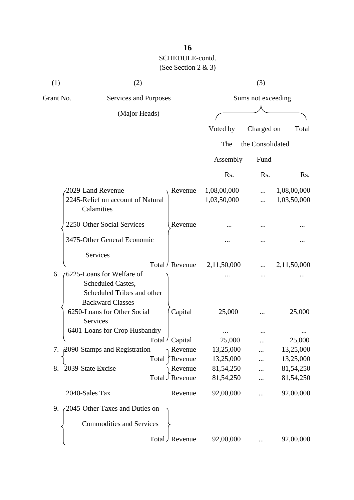| (1)       | (2)                                                                                                     |                            |                            | (3)                |                            |
|-----------|---------------------------------------------------------------------------------------------------------|----------------------------|----------------------------|--------------------|----------------------------|
| Grant No. | Services and Purposes                                                                                   |                            |                            | Sums not exceeding |                            |
|           | (Major Heads)                                                                                           |                            |                            |                    |                            |
|           |                                                                                                         |                            | Voted by                   | Charged on         | Total                      |
|           |                                                                                                         |                            | The                        | the Consolidated   |                            |
|           |                                                                                                         |                            | Assembly                   | Fund               |                            |
|           |                                                                                                         |                            | Rs.                        | Rs.                | R <sub>s</sub> .           |
|           | 2029-Land Revenue<br>2245-Relief on account of Natural<br>Calamities                                    | Revenue                    | 1,08,00,000<br>1,03,50,000 | .<br>.             | 1,08,00,000<br>1,03,50,000 |
|           | 2250-Other Social Services                                                                              | Revenue                    |                            |                    |                            |
|           | 3475-Other General Economic                                                                             |                            |                            |                    |                            |
|           | Services                                                                                                | Total / Revenue            | 2,11,50,000                |                    | 2,11,50,000                |
| 6.        | 6225-Loans for Welfare of<br>Scheduled Castes,<br>Scheduled Tribes and other<br><b>Backward Classes</b> |                            |                            |                    |                            |
|           | 6250-Loans for Other Social<br><b>Services</b>                                                          | Capital                    | 25,000                     |                    | 25,000                     |
|           | 6401-Loans for Crop Husbandry                                                                           |                            |                            |                    |                            |
|           |                                                                                                         | Total / Capital            | 25,000                     | $\cdots$           | 25,000                     |
|           | 7. 2090-Stamps and Registration                                                                         | Revenue                    | 13,25,000                  |                    | 13,25,000                  |
|           |                                                                                                         | Revenue<br>Total           | 13,25,000                  |                    | 13,25,000                  |
| 8.        | 2039-State Excise                                                                                       | Revenue<br>Total J Revenue | 81,54,250<br>81,54,250     |                    | 81,54,250<br>81,54,250     |
|           | 2040-Sales Tax                                                                                          | Revenue                    | 92,00,000                  |                    | 92,00,000                  |
| 9.        | 2045-Other Taxes and Duties on                                                                          |                            |                            |                    |                            |
|           | <b>Commodities and Services</b>                                                                         |                            |                            |                    |                            |
|           |                                                                                                         | Total J Revenue            | 92,00,000                  |                    | 92,00,000                  |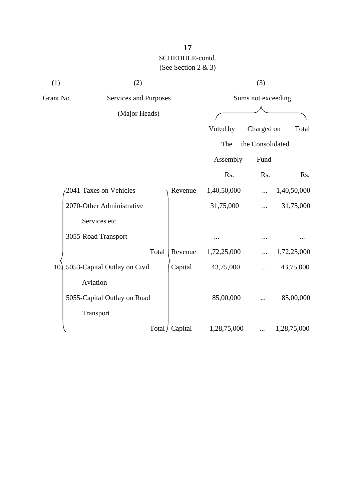| (1)       | (2)                          |                 |             | (3)                |             |
|-----------|------------------------------|-----------------|-------------|--------------------|-------------|
| Grant No. | Services and Purposes        |                 |             | Sums not exceeding |             |
|           | (Major Heads)                |                 |             |                    |             |
|           |                              |                 | Voted by    | Charged on         | Total       |
|           |                              |                 | The         | the Consolidated   |             |
|           |                              |                 | Assembly    | Fund               |             |
|           |                              |                 | Rs.         | Rs.                | Rs.         |
|           | 2041-Taxes on Vehicles       | Revenue         | 1,40,50,000 |                    | 1,40,50,000 |
|           | 2070-Other Administrative    |                 | 31,75,000   |                    | 31,75,000   |
|           | Services etc                 |                 |             |                    |             |
|           | 3055-Road Transport          |                 |             |                    |             |
|           | Total                        | Revenue         | 1,72,25,000 |                    | 1,72,25,000 |
| 10.       | 5053-Capital Outlay on Civil | Capital         | 43,75,000   |                    | 43,75,000   |
|           | Aviation                     |                 |             |                    |             |
|           | 5055-Capital Outlay on Road  |                 | 85,00,000   |                    | 85,00,000   |
|           | Transport                    |                 |             |                    |             |
|           |                              | Total / Capital | 1,28,75,000 |                    | 1,28,75,000 |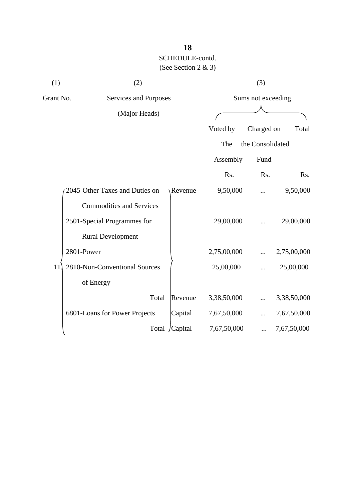| (1)       | (2)                             |                |             | (3)                |             |
|-----------|---------------------------------|----------------|-------------|--------------------|-------------|
| Grant No. | <b>Services and Purposes</b>    |                |             | Sums not exceeding |             |
|           | (Major Heads)                   |                |             |                    |             |
|           |                                 |                | Voted by    | Charged on         | Total       |
|           |                                 |                | The         | the Consolidated   |             |
|           |                                 |                | Assembly    | Fund               |             |
|           |                                 |                | Rs.         | Rs.                | Rs.         |
|           | 2045-Other Taxes and Duties on  | <b>Revenue</b> | 9,50,000    | .                  | 9,50,000    |
|           | <b>Commodities and Services</b> |                |             |                    |             |
|           | 2501-Special Programmes for     |                | 29,00,000   |                    | 29,00,000   |
|           | <b>Rural Development</b>        |                |             |                    |             |
|           | 2801-Power                      |                | 2,75,00,000 |                    | 2,75,00,000 |
| 11        | 2810-Non-Conventional Sources   |                | 25,00,000   |                    | 25,00,000   |
|           | of Energy                       |                |             |                    |             |
|           | Total                           | Revenue        | 3,38,50,000 |                    | 3,38,50,000 |
|           | 6801-Loans for Power Projects   | Capital        | 7,67,50,000 |                    | 7,67,50,000 |
|           |                                 | Total /Capital | 7,67,50,000 |                    | 7,67,50,000 |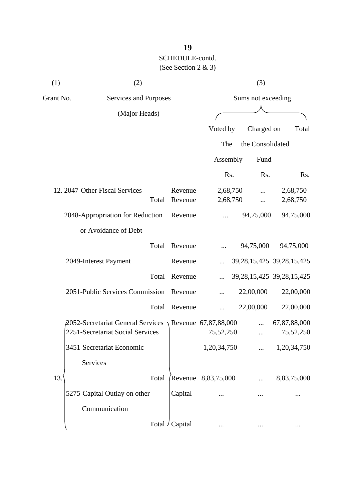| (1)       | (2)                                                           |         |                     | (3)              |                                 |  |
|-----------|---------------------------------------------------------------|---------|---------------------|------------------|---------------------------------|--|
| Grant No. | <b>Services and Purposes</b>                                  |         | Sums not exceeding  |                  |                                 |  |
|           | (Major Heads)                                                 |         |                     |                  |                                 |  |
|           |                                                               |         | Voted by            | Charged on       | Total                           |  |
|           |                                                               |         | The                 | the Consolidated |                                 |  |
|           |                                                               |         | Assembly            | Fund             |                                 |  |
|           |                                                               |         | Rs.                 | Rs.              | Rs.                             |  |
|           | 12. 2047-Other Fiscal Services                                | Revenue | 2,68,750            |                  | 2,68,750                        |  |
|           | Total                                                         | Revenue | 2,68,750            |                  | 2,68,750                        |  |
|           | 2048-Appropriation for Reduction                              | Revenue |                     | 94,75,000        | 94,75,000                       |  |
|           | or Avoidance of Debt                                          |         |                     |                  |                                 |  |
|           | Total                                                         | Revenue |                     | 94,75,000        | 94,75,000                       |  |
|           | 2049-Interest Payment                                         | Revenue |                     |                  | 39, 28, 15, 425 39, 28, 15, 425 |  |
|           | Total                                                         | Revenue |                     |                  | 39, 28, 15, 425 39, 28, 15, 425 |  |
|           | 2051-Public Services Commission                               | Revenue |                     | 22,00,000        | 22,00,000                       |  |
|           | Total                                                         | Revenue |                     | 22,00,000        | 22,00,000                       |  |
|           | 2052-Secretariat General Services $\chi$ Revenue 67,87,88,000 |         |                     |                  | 67,87,88,000                    |  |
|           | 2251-Secretariat Social Services                              |         | 75,52,250           |                  | 75,52,250                       |  |
|           | 3451-Secretariat Economic                                     |         | 1,20,34,750         |                  | 1,20,34,750                     |  |
|           | Services                                                      |         |                     |                  |                                 |  |
| 13.       | Total                                                         |         | Revenue 8,83,75,000 |                  | 8,83,75,000                     |  |
|           | 5275-Capital Outlay on other                                  | Capital |                     |                  |                                 |  |
|           | Communication                                                 |         |                     |                  |                                 |  |
|           | Total J                                                       | Capital |                     |                  |                                 |  |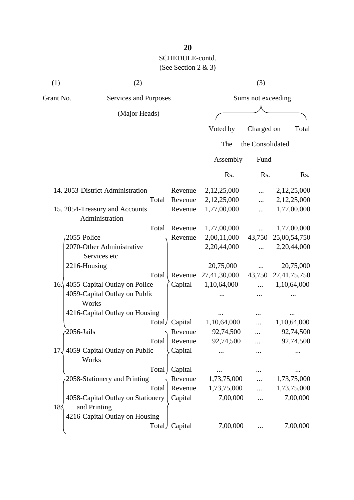| (1)             | (2)                                    |        |         |                    | (3)              |              |  |
|-----------------|----------------------------------------|--------|---------|--------------------|------------------|--------------|--|
| Grant No.       | Services and Purposes                  |        |         | Sums not exceeding |                  |              |  |
|                 | (Major Heads)                          |        |         |                    |                  |              |  |
|                 |                                        |        |         | Voted by           | Charged on       | Total        |  |
|                 |                                        |        |         | The                | the Consolidated |              |  |
|                 |                                        |        |         | Assembly           | Fund             |              |  |
|                 |                                        |        |         | Rs.                | Rs.              | Rs.          |  |
|                 | 14. 2053-District Administration       |        | Revenue | 2,12,25,000        |                  | 2,12,25,000  |  |
|                 |                                        | Total  | Revenue | 2,12,25,000        |                  | 2,12,25,000  |  |
|                 | 15. 2054-Treasury and Accounts         |        | Revenue | 1,77,00,000        |                  | 1,77,00,000  |  |
|                 | Administration                         |        |         |                    |                  |              |  |
|                 |                                        | Total  | Revenue | 1,77,00,000        | .                | 1,77,00,000  |  |
|                 | 2055-Police                            |        | Revenue | 2,00,11,000        | 43,750           | 25,00,54,750 |  |
|                 | 2070-Other Administrative              |        |         | 2,20,44,000        |                  | 2,20,44,000  |  |
|                 | Services etc                           |        |         |                    |                  |              |  |
|                 | 2216-Housing                           |        |         | 20,75,000          |                  | 20,75,000    |  |
|                 |                                        | Total  | Revenue | 27,41,30,000       | 43,750           | 27,41,75,750 |  |
| 16.             | 4055-Capital Outlay on Police          |        | Capital | 1,10,64,000        |                  | 1,10,64,000  |  |
|                 | 4059-Capital Outlay on Public          |        |         |                    |                  |              |  |
|                 | Works                                  |        |         |                    |                  |              |  |
|                 | 4216-Capital Outlay on Housing         |        |         |                    |                  |              |  |
|                 |                                        | Total/ | Capital | 1,10,64,000        |                  | 1,10,64,000  |  |
|                 | 2056-Jails                             |        | Revenue | 92,74,500          |                  | 92,74,500    |  |
|                 |                                        | Total  | Revenue | 92,74,500          |                  | 92,74,500    |  |
| 17              | 4059-Capital Outlay on Public<br>Works |        | Capital |                    |                  |              |  |
|                 |                                        | Total  | Capital |                    |                  |              |  |
|                 | 2058-Stationery and Printing           |        | Revenue | 1,73,75,000        |                  | 1,73,75,000  |  |
|                 |                                        | Total  | Revenue | 1,73,75,000        |                  | 1,73,75,000  |  |
|                 | 4058-Capital Outlay on Stationery      |        | Capital | 7,00,000           |                  | 7,00,000     |  |
| 18 <sub>2</sub> | and Printing                           |        |         |                    |                  |              |  |
|                 | 4216-Capital Outlay on Housing         |        |         |                    |                  |              |  |
|                 |                                        | Total) | Capital | 7,00,000           |                  | 7,00,000     |  |
|                 |                                        |        |         |                    |                  |              |  |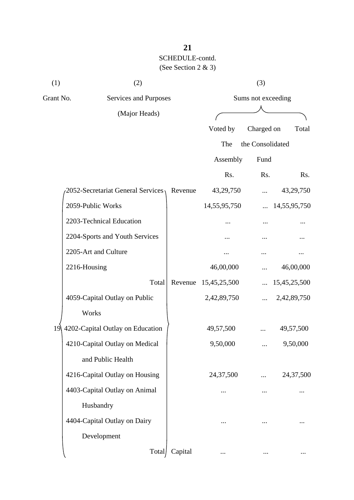| (1) | (2)                                |         |                    | (3)              |              |
|-----|------------------------------------|---------|--------------------|------------------|--------------|
|     | Grant No.<br>Services and Purposes |         | Sums not exceeding |                  |              |
|     | (Major Heads)                      |         |                    |                  |              |
|     |                                    |         | Voted by           | Charged on       | Total        |
|     |                                    |         | The                | the Consolidated |              |
|     |                                    |         | Assembly           | Fund             |              |
|     |                                    |         | Rs.                | Rs.              | Rs.          |
|     | 2052-Secretariat General Services  | Revenue | 43,29,750          |                  | 43,29,750    |
|     | 2059-Public Works                  |         | 14,55,95,750       | $\cdots$         | 14,55,95,750 |
|     | 2203-Technical Education           |         |                    |                  |              |
|     | 2204-Sports and Youth Services     |         |                    |                  |              |
|     | 2205-Art and Culture               |         |                    |                  |              |
|     | 2216-Housing                       |         | 46,00,000          |                  | 46,00,000    |
|     | Total                              | Revenue | 15,45,25,500       |                  | 15,45,25,500 |
|     | 4059-Capital Outlay on Public      |         | 2,42,89,750        | $\ddotsc$        | 2,42,89,750  |
|     | Works                              |         |                    |                  |              |
| 19  | 4202-Capital Outlay on Education   |         | 49,57,500          |                  | 49,57,500    |
|     | 4210-Capital Outlay on Medical     |         | 9,50,000           |                  | 9,50,000     |
|     | and Public Health                  |         |                    |                  |              |
|     | 4216-Capital Outlay on Housing     |         | 24,37,500          |                  | 24,37,500    |
|     | 4403-Capital Outlay on Animal      |         |                    |                  |              |
|     | Husbandry                          |         |                    |                  |              |
|     | 4404-Capital Outlay on Dairy       |         | .                  |                  |              |
|     | Development                        |         |                    |                  |              |
|     | Total                              | Capital |                    |                  |              |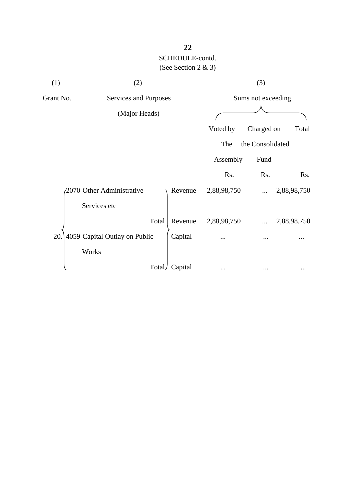| (1)       | (2)                           |         |                    | (3)              |             |
|-----------|-------------------------------|---------|--------------------|------------------|-------------|
| Grant No. | Services and Purposes         |         | Sums not exceeding |                  |             |
|           | (Major Heads)                 |         |                    |                  |             |
|           |                               |         | Voted by           | Charged on       | Total       |
|           |                               |         | The                | the Consolidated |             |
|           |                               |         | Assembly           | Fund             |             |
|           |                               |         | Rs.                | Rs.              | Rs.         |
|           | 2070-Other Administrative     | Revenue | 2,88,98,750        |                  | 2,88,98,750 |
|           | Services etc                  |         |                    |                  |             |
|           | Total                         | Revenue | 2,88,98,750        |                  | 2,88,98,750 |
| 20.       | 4059-Capital Outlay on Public | Capital |                    |                  |             |
|           | Works                         |         |                    |                  |             |
|           | Total                         | Capital |                    |                  |             |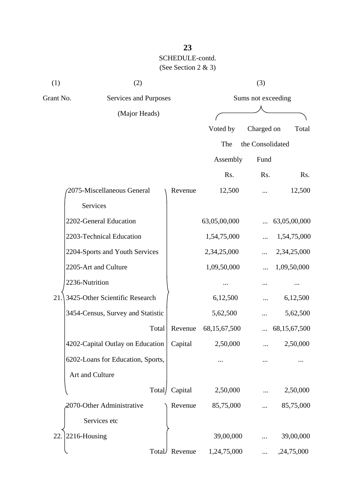| (1)       | (2)                               |         |                    | (3)              |                 |  |
|-----------|-----------------------------------|---------|--------------------|------------------|-----------------|--|
| Grant No. | Services and Purposes             |         | Sums not exceeding |                  |                 |  |
|           | (Major Heads)                     |         |                    |                  |                 |  |
|           |                                   |         | Voted by           | Charged on       | Total           |  |
|           |                                   |         | The                | the Consolidated |                 |  |
|           |                                   |         | Assembly           | Fund             |                 |  |
|           |                                   |         | Rs.                | Rs.              | Rs.             |  |
|           | 2075-Miscellaneous General        | Revenue | 12,500             |                  | 12,500          |  |
|           | Services                          |         |                    |                  |                 |  |
|           | 2202-General Education            |         | 63,05,00,000       |                  | 63,05,00,000    |  |
|           | 2203-Technical Education          |         | 1,54,75,000        |                  | 1,54,75,000     |  |
|           | 2204-Sports and Youth Services    |         | 2,34,25,000        |                  | 2,34,25,000     |  |
|           | 2205-Art and Culture              |         | 1,09,50,000        |                  | 1,09,50,000     |  |
|           | 2236-Nutrition                    |         |                    |                  |                 |  |
| 21.       | 3425-Other Scientific Research    |         | 6,12,500           |                  | 6,12,500        |  |
|           | 3454-Census, Survey and Statistic |         | 5,62,500           |                  | 5,62,500        |  |
|           | Total                             | Revenue | 68,15,67,500       |                  | 68, 15, 67, 500 |  |
|           | 4202-Capital Outlay on Education  | Capital | 2,50,000           |                  | 2,50,000        |  |
|           | 6202-Loans for Education, Sports, |         |                    |                  |                 |  |
|           | Art and Culture                   |         |                    |                  |                 |  |
|           | Total/                            | Capital | 2,50,000           |                  | 2,50,000        |  |
|           | 2070-Other Administrative         | Revenue | 85,75,000          |                  | 85,75,000       |  |
|           | Services etc                      |         |                    |                  |                 |  |
| 22.       | 2216-Housing                      |         | 39,00,000          |                  | 39,00,000       |  |
|           | Total                             | Revenue | 1,24,75,000        |                  | ,24,75,000      |  |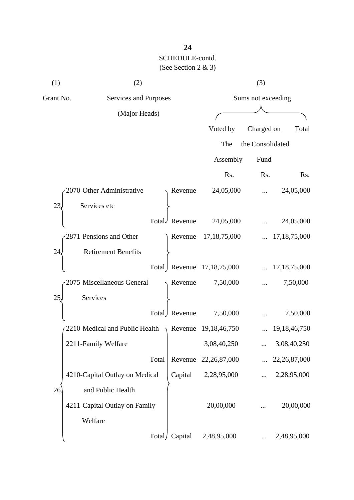| (1)       | (2)                                                  |               |                            | (3)              |                 |  |
|-----------|------------------------------------------------------|---------------|----------------------------|------------------|-----------------|--|
| Grant No. | Services and Purposes                                |               | Sums not exceeding         |                  |                 |  |
|           | (Major Heads)                                        |               |                            |                  |                 |  |
|           |                                                      |               | Voted by                   | Charged on       | Total           |  |
|           |                                                      |               | The                        | the Consolidated |                 |  |
|           |                                                      |               | Assembly                   | Fund             |                 |  |
|           |                                                      |               | Rs.                        | Rs.              | Rs.             |  |
|           | 2070-Other Administrative                            | Revenue       | 24,05,000                  |                  | 24,05,000       |  |
| 23,       | Services etc                                         |               |                            |                  |                 |  |
|           |                                                      | Total Revenue | 24,05,000                  |                  | 24,05,000       |  |
|           | 2871-Pensions and Other                              | Revenue       | 17, 18, 75, 000            |                  | 17, 18, 75, 000 |  |
| 24        | <b>Retirement Benefits</b>                           |               |                            |                  |                 |  |
|           |                                                      |               | Total Revenue 17,18,75,000 |                  | 17, 18, 75, 000 |  |
|           | 2075-Miscellaneous General                           | Revenue       | 7,50,000                   |                  | 7,50,000        |  |
| 25,       | Services                                             |               |                            |                  |                 |  |
|           |                                                      | Total Revenue | 7,50,000                   |                  | 7,50,000        |  |
|           | 2210-Medical and Public Health $\rightarrow$ Revenue |               | 19, 18, 46, 750            |                  | 19, 18, 46, 750 |  |
|           | 2211-Family Welfare                                  |               | 3,08,40,250                |                  | 3,08,40,250     |  |
|           | Total                                                | Revenue       | 22, 26, 87, 000            |                  | 22, 26, 87, 000 |  |
|           | 4210-Capital Outlay on Medical                       | Capital       | 2,28,95,000                |                  | 2,28,95,000     |  |
| 26        | and Public Health                                    |               |                            |                  |                 |  |
|           | 4211-Capital Outlay on Family                        |               | 20,00,000                  |                  | 20,00,000       |  |
|           | Welfare                                              |               |                            |                  |                 |  |
|           | Total/                                               | Capital       | 2,48,95,000                |                  | 2,48,95,000     |  |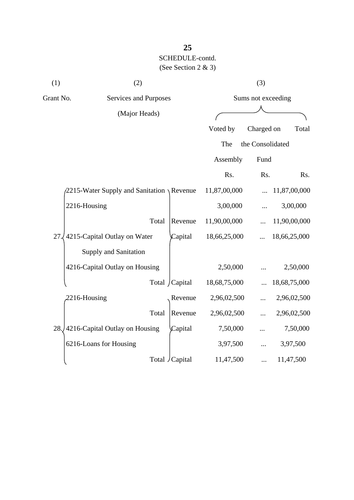| (1) | (2)                                                 |                 |                    | (3)              |              |  |
|-----|-----------------------------------------------------|-----------------|--------------------|------------------|--------------|--|
|     | Grant No.<br>Services and Purposes                  |                 | Sums not exceeding |                  |              |  |
|     | (Major Heads)                                       |                 |                    |                  |              |  |
|     |                                                     |                 | Voted by           | Charged on       | Total        |  |
|     |                                                     |                 | The                | the Consolidated |              |  |
|     |                                                     |                 | Assembly           | Fund             |              |  |
|     |                                                     |                 | Rs.                | Rs.              | Rs.          |  |
|     | $\sqrt{2215}$ -Water Supply and Sanitation \Revenue |                 | 11,87,00,000       |                  | 11,87,00,000 |  |
|     | 2216-Housing                                        |                 | 3,00,000           |                  | 3,00,000     |  |
|     | Total                                               | Revenue         | 11,90,00,000       |                  | 11,90,00,000 |  |
| 27  | 4215-Capital Outlay on Water                        | Capital         | 18,66,25,000       |                  | 18,66,25,000 |  |
|     | Supply and Sanitation                               |                 |                    |                  |              |  |
|     | 4216-Capital Outlay on Housing                      |                 | 2,50,000           |                  | 2,50,000     |  |
|     |                                                     | Total / Capital | 18,68,75,000       |                  | 18,68,75,000 |  |
|     | 2216-Housing                                        | Revenue         | 2,96,02,500        |                  | 2,96,02,500  |  |
|     | Total                                               | Revenue         | 2,96,02,500        |                  | 2,96,02,500  |  |
| 28. | 4216-Capital Outlay on Housing                      | Capital         | 7,50,000           |                  | 7,50,000     |  |
|     | 6216-Loans for Housing                              |                 | 3,97,500           |                  | 3,97,500     |  |
|     |                                                     | Total / Capital | 11,47,500          |                  | 11,47,500    |  |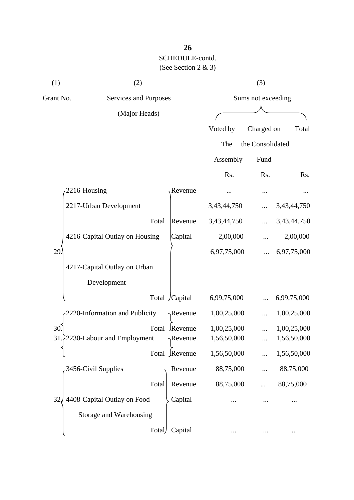| (1)       | (2)                            |                  | (3)                |                  |             |  |
|-----------|--------------------------------|------------------|--------------------|------------------|-------------|--|
| Grant No. | Services and Purposes          |                  | Sums not exceeding |                  |             |  |
|           | (Major Heads)                  |                  |                    |                  |             |  |
|           |                                |                  | Voted by           | Charged on       | Total       |  |
|           |                                |                  | The                | the Consolidated |             |  |
|           |                                |                  | Assembly           | Fund             |             |  |
|           |                                |                  | Rs.                | Rs.              | Rs.         |  |
|           | 2216-Housing                   | Revenue          |                    |                  |             |  |
|           | 2217-Urban Development         |                  | 3,43,44,750        |                  | 3,43,44,750 |  |
|           | Total                          | Revenue          | 3,43,44,750        |                  | 3,43,44,750 |  |
|           | 4216-Capital Outlay on Housing | Capital          | 2,00,000           |                  | 2,00,000    |  |
| 29.       |                                |                  | 6,97,75,000        |                  | 6,97,75,000 |  |
|           | 4217-Capital Outlay on Urban   |                  |                    |                  |             |  |
|           | Development                    |                  |                    |                  |             |  |
|           |                                | Total /Capital   | 6,99,75,000        |                  | 6,99,75,000 |  |
|           | 2220-Information and Publicity | $\gamma$ Revenue | 1,00,25,000        |                  | 1,00,25,000 |  |
| 30.       |                                | Total Revenue    | 1,00,25,000        |                  | 1,00,25,000 |  |
|           | 31.2230-Labour and Employment  | $\gamma$ Revenue | 1,56,50,000        |                  | 1,56,50,000 |  |
|           |                                | Total Revenue    | 1,56,50,000        |                  | 1,56,50,000 |  |
|           | 3456-Civil Supplies            | Revenue          | 88,75,000          |                  | 88,75,000   |  |
|           | Total                          | Revenue          | 88,75,000          |                  | 88,75,000   |  |
| 32.       | 4408-Capital Outlay on Food    | Capital          |                    |                  |             |  |
|           | Storage and Warehousing        |                  |                    |                  |             |  |
|           | Total                          | Capital          |                    |                  |             |  |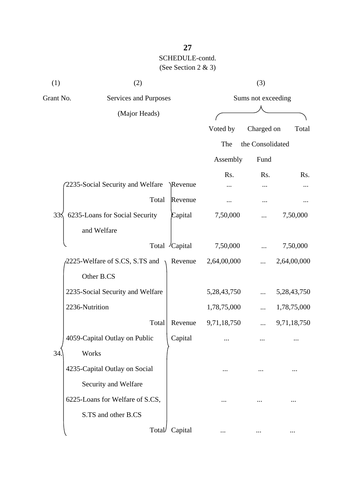| (1)<br>(2) |                                  | (3)           |                    |                  |             |  |
|------------|----------------------------------|---------------|--------------------|------------------|-------------|--|
| Grant No.  | Services and Purposes            |               | Sums not exceeding |                  |             |  |
|            | (Major Heads)                    |               |                    |                  |             |  |
|            |                                  |               | Voted by           | Charged on       | Total       |  |
|            |                                  |               | The                | the Consolidated |             |  |
|            |                                  |               | Assembly           | Fund             |             |  |
|            |                                  |               | Rs.                | Rs.              | Rs.         |  |
|            | 2235-Social Security and Welfare | Revenue       |                    |                  |             |  |
|            | Total                            | Revenue       |                    | $\cdots$         |             |  |
| 335        | 6235-Loans for Social Security   | Capital       | 7,50,000           |                  | 7,50,000    |  |
|            | and Welfare                      |               |                    |                  |             |  |
|            |                                  | Total Capital | 7,50,000           |                  | 7,50,000    |  |
|            | 2225-Welfare of S.CS, S.TS and   | Revenue       | 2,64,00,000        |                  | 2,64,00,000 |  |
|            | Other B.CS                       |               |                    |                  |             |  |
|            | 2235-Social Security and Welfare |               | 5,28,43,750        |                  | 5,28,43,750 |  |
|            | 2236-Nutrition                   |               | 1,78,75,000        |                  | 1,78,75,000 |  |
|            | Total                            | Revenue       | 9,71,18,750        |                  | 9,71,18,750 |  |
|            | 4059-Capital Outlay on Public    | Capital       |                    | $\cdots$         | .           |  |
| 34         | Works                            |               |                    |                  |             |  |
|            | 4235-Capital Outlay on Social    |               |                    |                  |             |  |
|            | Security and Welfare             |               |                    |                  |             |  |
|            | 6225-Loans for Welfare of S.CS,  |               |                    |                  |             |  |
|            | S.TS and other B.CS              |               |                    |                  |             |  |
|            | Total                            | Capital       |                    |                  |             |  |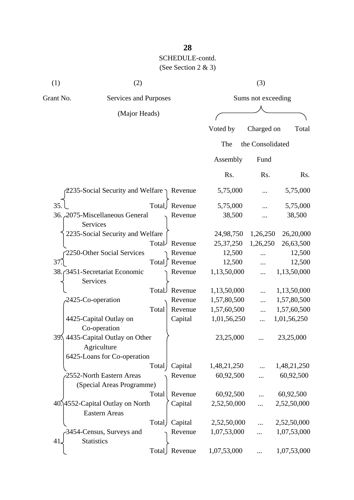| (1)                                | (2)                                               |               | (3)       |                    |           |
|------------------------------------|---------------------------------------------------|---------------|-----------|--------------------|-----------|
| Grant No.<br>Services and Purposes |                                                   |               |           | Sums not exceeding |           |
|                                    | (Major Heads)                                     |               |           |                    |           |
|                                    |                                                   |               | Voted by  | Charged on         | Total     |
|                                    |                                                   |               | The       | the Consolidated   |           |
|                                    |                                                   |               | Assembly  | Fund               |           |
|                                    |                                                   |               | Rs.       | Rs.                | Rs.       |
|                                    | 2235-Social Security and Welfare $\gamma$ Revenue |               | 5,75,000  |                    | 5,75,000  |
| 35.                                |                                                   | Total Revenue | 5,75,000  |                    | 5,75,000  |
|                                    | 36. 2075-Miscellaneous General<br>Services        | Revenue       | 38,500    |                    | 38,500    |
|                                    | 2235-Social Security and Welfare                  |               | 24,98,750 | 1,26,250           | 26,20,000 |
|                                    |                                                   |               |           |                    |           |

| 35.                              | Total | Revenue | 5,75,000    |            | 5,75,000    |
|----------------------------------|-------|---------|-------------|------------|-------------|
| 36. 2075-Miscellaneous General   |       | Revenue | 38,500      | .          | 38,500      |
| Services                         |       |         |             |            |             |
| 2235-Social Security and Welfare |       |         | 24,98,750   | 1,26,250   | 26,20,000   |
|                                  | Total | Revenue | 25, 37, 250 | 1,26,250   | 26,63,500   |
| 2250-Other Social Services       |       | Revenue | 12,500      | $\cdots$   | 12,500      |
| 37.                              | Total | Revenue | 12,500      |            | 12,500      |
| 38. 3451-Secretariat Economic    |       | Revenue | 1,13,50,000 | $\dddotsc$ | 1,13,50,000 |
| Services                         |       |         |             |            |             |
|                                  | Total | Revenue | 1,13,50,000 | $\dddotsc$ | 1,13,50,000 |
| 2425-Co-operation                |       | Revenue | 1,57,80,500 | $\dddotsc$ | 1,57,80,500 |
|                                  | Total | Revenue | 1,57,60,500 | $\dddotsc$ | 1,57,60,500 |
| 4425-Capital Outlay on           |       | Capital | 1,01,56,250 | $\dddotsc$ | 1,01,56,250 |
| Co-operation                     |       |         |             |            |             |
| 39. 4435-Capital Outlay on Other |       |         | 23,25,000   |            | 23,25,000   |
| Agriculture                      |       |         |             |            |             |
| 6425-Loans for Co-operation      |       |         |             |            |             |
|                                  | Total | Capital | 1,48,21,250 |            | 1,48,21,250 |
| 2552-North Eastern Areas         |       | Revenue | 60,92,500   |            | 60,92,500   |
| (Special Areas Programme)        |       |         |             |            |             |
|                                  | Total | Revenue | 60,92,500   |            | 60,92,500   |
| 40.14552-Capital Outlay on North |       | Capital | 2,52,50,000 | $\dddotsc$ | 2,52,50,000 |
| <b>Eastern Areas</b>             |       |         |             |            |             |
|                                  | Total | Capital | 2,52,50,000 | $\dddotsc$ | 2,52,50,000 |
| -3454-Census, Surveys and        |       | Revenue | 1,07,53,000 |            | 1,07,53,000 |
| <b>Statistics</b><br>41.         |       |         |             |            |             |
|                                  | Total | Revenue | 1,07,53,000 |            | 1,07,53,000 |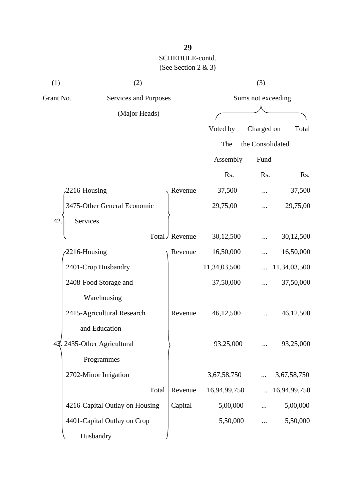| (1)                                | (2)                            |                  |                    | (3)              |              |  |
|------------------------------------|--------------------------------|------------------|--------------------|------------------|--------------|--|
| Grant No.<br>Services and Purposes |                                |                  | Sums not exceeding |                  |              |  |
|                                    | (Major Heads)                  |                  |                    |                  |              |  |
|                                    |                                |                  | Voted by           | Charged on       | Total        |  |
|                                    |                                |                  | The                | the Consolidated |              |  |
|                                    |                                |                  | Assembly           | Fund             |              |  |
|                                    |                                |                  | Rs.                | Rs.              | Rs.          |  |
|                                    | 2216-Housing                   | Revenue          | 37,500             |                  | 37,500       |  |
|                                    | 3475-Other General Economic    |                  | 29,75,00           |                  | 29,75,00     |  |
| 42                                 | Services                       |                  |                    |                  |              |  |
|                                    |                                | Total J Revenue  | 30,12,500          |                  | 30,12,500    |  |
|                                    | 2216-Housing                   | Revenue          | 16,50,000          |                  | 16,50,000    |  |
|                                    | 2401-Crop Husbandry            |                  | 11,34,03,500       |                  | 11,34,03,500 |  |
|                                    | 2408-Food Storage and          |                  | 37,50,000          |                  | 37,50,000    |  |
|                                    | Warehousing                    |                  |                    |                  |              |  |
|                                    | 2415-Agricultural Research     | Revenue          | 46,12,500          |                  | 46,12,500    |  |
|                                    | and Education                  |                  |                    |                  |              |  |
|                                    | 43. 2435-Other Agricultural    |                  | 93,25,000          |                  | 93,25,000    |  |
|                                    | Programmes                     |                  |                    |                  |              |  |
|                                    | 2702-Minor Irrigation          |                  | 3,67,58,750        |                  | 3,67,58,750  |  |
|                                    |                                | Total<br>Revenue | 16,94,99,750       |                  | 16,94,99,750 |  |
|                                    | 4216-Capital Outlay on Housing | Capital          | 5,00,000           |                  | 5,00,000     |  |
|                                    | 4401-Capital Outlay on Crop    |                  | 5,50,000           |                  | 5,50,000     |  |
|                                    | Husbandry                      |                  |                    |                  |              |  |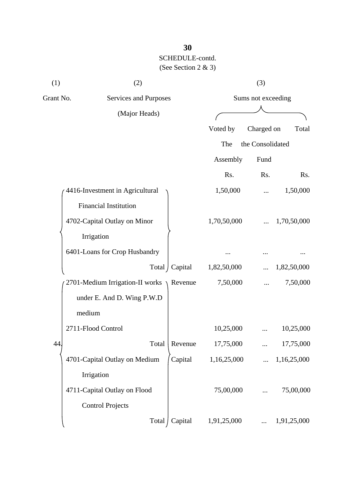| (1)       | (2)                             |                 | (3)                |                  |             |  |
|-----------|---------------------------------|-----------------|--------------------|------------------|-------------|--|
| Grant No. | Services and Purposes           |                 | Sums not exceeding |                  |             |  |
|           | (Major Heads)                   |                 |                    |                  |             |  |
|           |                                 |                 | Voted by           | Charged on       | Total       |  |
|           |                                 |                 | The                | the Consolidated |             |  |
|           |                                 |                 | Assembly           | Fund             |             |  |
|           |                                 |                 | Rs.                | Rs.              | Rs.         |  |
|           | 4416-Investment in Agricultural |                 | 1,50,000           |                  | 1,50,000    |  |
|           | Financial Institution           |                 |                    |                  |             |  |
|           | 4702-Capital Outlay on Minor    |                 | 1,70,50,000        |                  | 1,70,50,000 |  |
|           | Irrigation                      |                 |                    |                  |             |  |
|           | 6401-Loans for Crop Husbandry   |                 |                    |                  |             |  |
|           |                                 | Total / Capital | 1,82,50,000        |                  | 1,82,50,000 |  |
|           | 2701-Medium Irrigation-II works | Revenue         | 7,50,000           |                  | 7,50,000    |  |
|           | under E. And D. Wing P.W.D      |                 |                    |                  |             |  |
|           | medium                          |                 |                    |                  |             |  |
|           | 2711-Flood Control              |                 | 10,25,000          |                  | 10,25,000   |  |
| ΔΔ        | Total                           | Revenue         | 17,75,000          | $\cdots$         | 17,75,000   |  |
|           | 4701-Capital Outlay on Medium   | Capital         | 1,16,25,000        |                  | 1,16,25,000 |  |
|           | Irrigation                      |                 |                    |                  |             |  |
|           | 4711-Capital Outlay on Flood    |                 | 75,00,000          |                  | 75,00,000   |  |
|           | <b>Control Projects</b>         |                 |                    |                  |             |  |
|           | Total                           | Capital         | 1,91,25,000        |                  | 1,91,25,000 |  |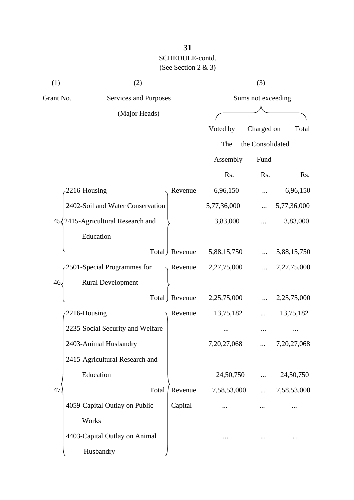| (1)       | (2)                                        |                 |                    | (3)              |                |
|-----------|--------------------------------------------|-----------------|--------------------|------------------|----------------|
| Grant No. | Services and Purposes                      |                 | Sums not exceeding |                  |                |
|           | (Major Heads)                              |                 |                    |                  |                |
|           |                                            |                 | Voted by           | Charged on       | Total          |
|           |                                            |                 | The                | the Consolidated |                |
|           |                                            |                 | Assembly           | Fund             |                |
|           |                                            |                 | Rs.                | Rs.              | Rs.            |
|           | 2216-Housing                               | Revenue         | 6,96,150           |                  | 6,96,150       |
|           | 2402-Soil and Water Conservation           |                 | 5,77,36,000        |                  | 5,77,36,000    |
|           | $45\sqrt{2415}$ -Agricultural Research and |                 | 3,83,000           |                  | 3,83,000       |
|           | Education                                  |                 |                    |                  |                |
|           |                                            | Total / Revenue | 5,88,15,750        |                  | 5,88,15,750    |
|           | 2501-Special Programmes for                | Revenue         | 2,27,75,000        |                  | 2,27,75,000    |
| 46.       | <b>Rural Development</b>                   |                 |                    |                  |                |
|           |                                            | Total   Revenue | 2,25,75,000        |                  | 2,25,75,000    |
|           | 2216-Housing                               | Revenue         | 13,75,182          |                  | 13,75,182      |
|           | 2235-Social Security and Welfare           |                 |                    |                  |                |
|           | 2403-Animal Husbandry                      |                 | 7, 20, 27, 068     |                  | 7, 20, 27, 068 |
|           | 2415-Agricultural Research and             |                 |                    |                  |                |
|           | Education                                  |                 | 24,50,750          |                  | 24,50,750      |
| 47        | Total                                      | Revenue         | 7,58,53,000        | $\cdots$         | 7,58,53,000    |
|           | 4059-Capital Outlay on Public              | Capital         |                    |                  |                |
|           | Works                                      |                 |                    |                  |                |
|           | 4403-Capital Outlay on Animal              |                 |                    |                  |                |
|           | Husbandry                                  |                 |                    |                  |                |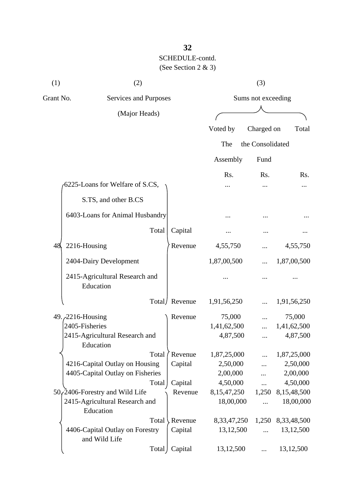| (1) | (2)                                              |       |               | (3)                |                  |             |  |
|-----|--------------------------------------------------|-------|---------------|--------------------|------------------|-------------|--|
|     | Grant No.<br>Services and Purposes               |       |               | Sums not exceeding |                  |             |  |
|     | (Major Heads)                                    |       |               |                    |                  |             |  |
|     |                                                  |       |               |                    |                  |             |  |
|     |                                                  |       |               | Voted by           | Charged on       | Total       |  |
|     |                                                  |       |               | The                | the Consolidated |             |  |
|     |                                                  |       |               | Assembly           | Fund             |             |  |
|     |                                                  |       |               | Rs.                | Rs.              | Rs.         |  |
|     | 6225-Loans for Welfare of S.CS,                  |       |               |                    |                  |             |  |
|     | S.TS, and other B.CS                             |       |               |                    |                  |             |  |
|     | 6403-Loans for Animal Husbandry                  |       |               |                    |                  |             |  |
|     |                                                  | Total | Capital       |                    |                  |             |  |
| 48  | 2216-Housing                                     |       | Revenue       | 4,55,750           |                  | 4,55,750    |  |
|     | 2404-Dairy Development                           |       |               | 1,87,00,500        |                  | 1,87,00,500 |  |
|     | 2415-Agricultural Research and<br>Education      |       |               |                    |                  |             |  |
|     |                                                  |       | Total/Revenue | 1,91,56,250        |                  | 1,91,56,250 |  |
|     | 49. 2216-Housing                                 |       | Revenue       | 75,000             |                  | 75,000      |  |
|     | 2405-Fisheries                                   |       |               | 1,41,62,500        |                  | 1,41,62,500 |  |
|     | 2415-Agricultural Research and<br>Education      |       |               | 4,87,500           |                  | 4,87,500    |  |
|     |                                                  | Total | Revenue       | 1,87,25,000        |                  | 1,87,25,000 |  |
|     | 4216-Capital Outlay on Housing                   |       | Capital       | 2,50,000           |                  | 2,50,000    |  |
|     | 4405-Capital Outlay on Fisheries                 |       |               | 2,00,000           |                  | 2,00,000    |  |
|     |                                                  | Total | Capital       | 4,50,000           |                  | 4,50,000    |  |
|     | $50$ , 2406-Forestry and Wild Life               |       | Revenue       | 8,15,47,250        | 1,250            | 8,15,48,500 |  |
|     | 2415-Agricultural Research and<br>Education      |       |               | 18,00,000          |                  | 18,00,000   |  |
|     |                                                  | Total | Revenue       | 8, 33, 47, 250     | 1,250            | 8,33,48,500 |  |
|     | 4406-Capital Outlay on Forestry<br>and Wild Life |       | Capital       | 13,12,500          |                  | 13,12,500   |  |
|     |                                                  | Total | Capital       | 13,12,500          |                  | 13,12,500   |  |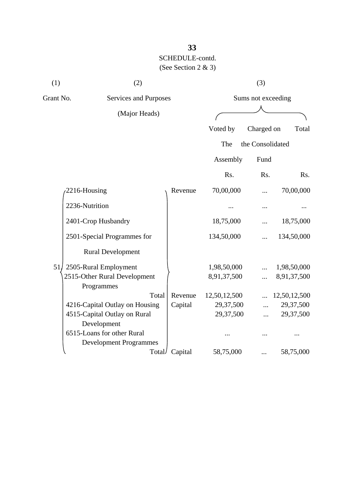| (1)       | (2)                                        |         |              | (3)                |              |
|-----------|--------------------------------------------|---------|--------------|--------------------|--------------|
| Grant No. | Services and Purposes                      |         |              | Sums not exceeding |              |
|           | (Major Heads)                              |         |              |                    |              |
|           |                                            |         | Voted by     | Charged on         | Total        |
|           |                                            |         | The          | the Consolidated   |              |
|           |                                            |         |              |                    |              |
|           |                                            |         | Assembly     | Fund               |              |
|           |                                            |         | Rs.          | Rs.                | Rs.          |
|           | 2216-Housing                               | Revenue | 70,00,000    | .                  | 70,00,000    |
|           | 2236-Nutrition                             |         |              |                    |              |
|           | 2401-Crop Husbandry                        |         | 18,75,000    |                    | 18,75,000    |
|           | 2501-Special Programmes for                |         | 134,50,000   |                    | 134,50,000   |
|           | <b>Rural Development</b>                   |         |              |                    |              |
| 51        | 2505-Rural Employment                      |         | 1,98,50,000  | $\dddotsc$         | 1,98,50,000  |
|           | 2515-Other Rural Development<br>Programmes |         | 8,91,37,500  |                    | 8,91,37,500  |
|           | Total                                      | Revenue | 12,50,12,500 |                    | 12,50,12,500 |
|           | 4216-Capital Outlay on Housing             | Capital | 29,37,500    |                    | 29,37,500    |
|           | 4515-Capital Outlay on Rural               |         | 29,37,500    | $\ddotsc$          | 29,37,500    |
|           | Development                                |         |              |                    |              |
|           | 6515-Loans for other Rural                 |         |              |                    |              |
|           | <b>Development Programmes</b>              |         |              |                    |              |
|           | Total/                                     | Capital | 58,75,000    |                    | 58,75,000    |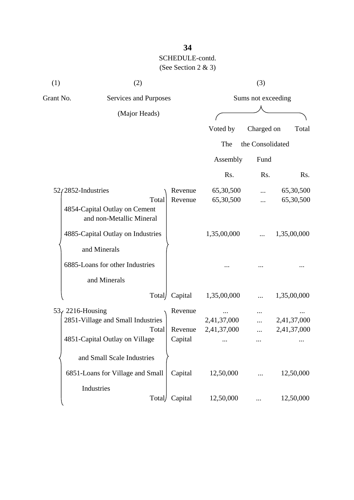| (1)       | (2)                                                                                                |                               |                            | (3)        |                            |
|-----------|----------------------------------------------------------------------------------------------------|-------------------------------|----------------------------|------------|----------------------------|
| Grant No. | Services and Purposes                                                                              |                               | Sums not exceeding         |            |                            |
|           | (Major Heads)                                                                                      |                               |                            |            |                            |
|           |                                                                                                    |                               | Voted by                   | Charged on | Total                      |
|           |                                                                                                    |                               | the Consolidated<br>The    |            |                            |
|           |                                                                                                    |                               | Assembly                   | Fund       |                            |
|           |                                                                                                    |                               | Rs.                        | Rs.        | Rs.                        |
|           | $52/2852$ -Industries                                                                              | Revenue                       | 65,30,500                  |            | 65,30,500                  |
|           | Total<br>4854-Capital Outlay on Cement<br>and non-Metallic Mineral                                 | Revenue                       | 65,30,500                  |            | 65,30,500                  |
|           | 4885-Capital Outlay on Industries                                                                  |                               | 1,35,00,000                |            | 1,35,00,000                |
|           | and Minerals                                                                                       |                               |                            |            |                            |
|           | 6885-Loans for other Industries                                                                    |                               |                            |            |                            |
|           | and Minerals                                                                                       |                               |                            |            |                            |
|           | Total                                                                                              | Capital                       | 1,35,00,000                |            | 1,35,00,000                |
|           | $53f$ 2216-Housing<br>2851-Village and Small Industries<br>Total<br>4851-Capital Outlay on Village | Revenue<br>Revenue<br>Capital | 2,41,37,000<br>2,41,37,000 | $\cdots$   | 2,41,37,000<br>2,41,37,000 |
|           | and Small Scale Industries                                                                         |                               |                            |            |                            |
|           | 6851-Loans for Village and Small                                                                   | Capital                       | 12,50,000                  |            | 12,50,000                  |
|           | Industries<br>Total                                                                                | Capital                       | 12,50,000                  |            | 12,50,000                  |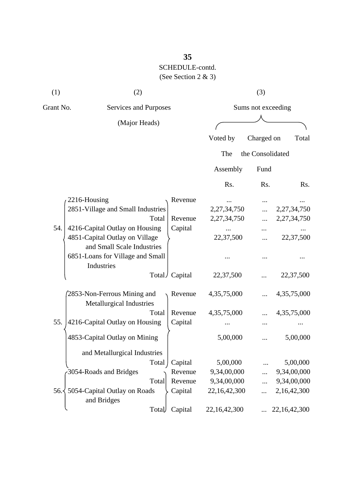## **35** SCHEDULE-contd. (See Section 2 & 3)

| (1)       | (2)                               |         |                    | (3)              |                 |  |
|-----------|-----------------------------------|---------|--------------------|------------------|-----------------|--|
| Grant No. | Services and Purposes             |         | Sums not exceeding |                  |                 |  |
|           | (Major Heads)                     |         |                    |                  |                 |  |
|           |                                   |         | Voted by           | Charged on       | Total           |  |
|           |                                   |         | The                | the Consolidated |                 |  |
|           |                                   |         | Assembly           | Fund             |                 |  |
|           |                                   |         | Rs.                | Rs.              | Rs.             |  |
|           | 2216-Housing                      | Revenue |                    |                  |                 |  |
|           | 2851-Village and Small Industries |         | 2,27,34,750        |                  | 2,27,34,750     |  |
|           | Total                             | Revenue | 2,27,34,750        |                  | 2,27,34,750     |  |
| 54.       | 4216-Capital Outlay on Housing    | Capital |                    |                  |                 |  |
|           | 4851-Capital Outlay on Village    |         | 22,37,500          | $\ddotsc$        | 22,37,500       |  |
|           | and Small Scale Industries        |         |                    |                  |                 |  |
|           | 6851-Loans for Village and Small  |         |                    |                  |                 |  |
|           | Industries                        |         |                    |                  |                 |  |
|           | Total/                            | Capital | 22,37,500          |                  | 22,37,500       |  |
|           | 2853-Non-Ferrous Mining and       | Revenue | 4,35,75,000        |                  | 4,35,75,000     |  |
|           | Metallurgical Industries          |         |                    |                  |                 |  |
|           | Total                             | Revenue | 4, 35, 75, 000     |                  | 4, 35, 75, 000  |  |
| 55.       | 4216-Capital Outlay on Housing    | Capital |                    |                  |                 |  |
|           | 4853-Capital Outlay on Mining     |         | 5,00,000           |                  | 5,00,000        |  |
|           | and Metallurgical Industries      |         |                    |                  |                 |  |
|           | Total                             | Capital | 5,00,000           |                  | 5,00,000        |  |
|           | 3054-Roads and Bridges            | Revenue | 9,34,00,000        |                  | 9,34,00,000     |  |
|           | Total                             | Revenue | 9,34,00,000        |                  | 9,34,00,000     |  |
| 56.4      | 5054-Capital Outlay on Roads      | Capital | 22,16,42,300       |                  | 2,16,42,300     |  |
|           | and Bridges                       |         |                    |                  |                 |  |
|           | Total                             | Capital | 22,16,42,300       |                  | 22, 16, 42, 300 |  |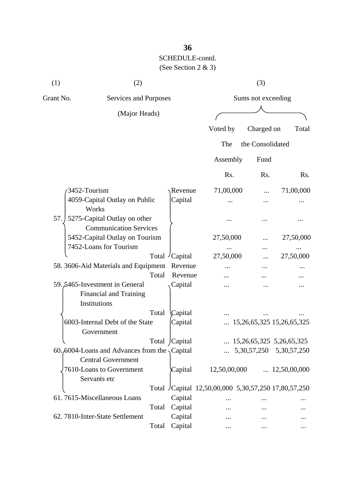## **36** SCHEDULE-contd. (See Section 2 & 3)

| (1)          | (2)                                                                               |       |               |                                                     | (3)                |                                   |  |  |
|--------------|-----------------------------------------------------------------------------------|-------|---------------|-----------------------------------------------------|--------------------|-----------------------------------|--|--|
| Grant No.    | Services and Purposes                                                             |       |               |                                                     | Sums not exceeding |                                   |  |  |
|              | (Major Heads)                                                                     |       |               |                                                     |                    |                                   |  |  |
|              |                                                                                   |       |               | Voted by                                            | Charged on         | Total                             |  |  |
|              |                                                                                   |       |               |                                                     |                    |                                   |  |  |
|              |                                                                                   |       |               | The                                                 | the Consolidated   |                                   |  |  |
|              |                                                                                   |       |               | Assembly                                            | Fund               |                                   |  |  |
|              |                                                                                   |       |               | Rs.                                                 | Rs.                | Rs.                               |  |  |
| 3452-Tourism |                                                                                   |       | Revenue       | 71,00,000                                           |                    | 71,00,000                         |  |  |
|              | 4059-Capital Outlay on Public<br>Works                                            |       | Capital       |                                                     |                    |                                   |  |  |
| 57.          | 5275-Capital Outlay on other<br><b>Communication Services</b>                     |       |               |                                                     |                    |                                   |  |  |
|              | 5452-Capital Outlay on Tourism                                                    |       |               | 27,50,000                                           |                    | 27,50,000                         |  |  |
|              | 7452-Loans for Tourism                                                            |       |               |                                                     |                    |                                   |  |  |
|              |                                                                                   |       | Total Capital | 27,50,000                                           |                    | 27,50,000                         |  |  |
|              | 58. 3606-Aid Materials and Equipment                                              |       | Revenue       |                                                     |                    |                                   |  |  |
|              |                                                                                   | Total | Revenue       |                                                     |                    |                                   |  |  |
|              | 59.5465-Investment in General<br>Financial and Training<br>Institutions           |       | Capital       |                                                     |                    |                                   |  |  |
|              |                                                                                   | Total | Capital       |                                                     |                    |                                   |  |  |
|              | 6003-Internal Debt of the State<br>Government                                     |       | Capital       |                                                     |                    | 15, 26, 65, 325 15, 26, 65, 325   |  |  |
|              |                                                                                   |       | Total Capital |                                                     |                    | $\ldots$ 15,26,65,325 5,26,65,325 |  |  |
|              | 60.6004-Loans and Advances from the $\sqrt{$ Capital<br><b>Central Government</b> |       |               |                                                     |                    | $\ldots$ 5,30,57,250 5,30,57,250  |  |  |
|              | 7610-Loans to Government<br>Servants etc                                          |       | Capital       | 12,50,00,000                                        |                    | $\ldots$ 12,50,00,000             |  |  |
|              |                                                                                   |       |               | Total Capital 12,50,00,000 5,30,57,250 17,80,57,250 |                    |                                   |  |  |
|              | 61.7615-Miscellaneous Loans                                                       |       | Capital       |                                                     |                    |                                   |  |  |
|              |                                                                                   | Total | Capital       |                                                     |                    |                                   |  |  |
|              | 62. 7810-Inter-State Settlement                                                   |       | Capital       |                                                     |                    |                                   |  |  |
|              |                                                                                   | Total | Capital       |                                                     |                    | $\ddotsc$                         |  |  |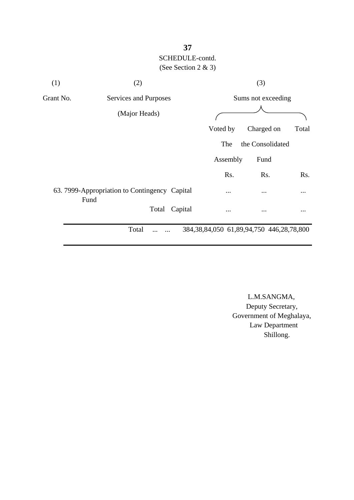## **37** SCHEDULE-contd. (See Section 2 & 3)

| (1)       | (2)                                                   |         |                                                   | (3)                |          |  |  |  |
|-----------|-------------------------------------------------------|---------|---------------------------------------------------|--------------------|----------|--|--|--|
| Grant No. | Services and Purposes                                 |         |                                                   | Sums not exceeding |          |  |  |  |
|           | (Major Heads)                                         |         |                                                   |                    |          |  |  |  |
|           |                                                       |         | Voted by                                          | Charged on         | Total    |  |  |  |
|           |                                                       |         | The                                               | the Consolidated   |          |  |  |  |
|           |                                                       |         | Assembly                                          | Fund               |          |  |  |  |
|           |                                                       |         | Rs.                                               | Rs.                | Rs.      |  |  |  |
|           | 63. 7999-Appropriation to Contingency Capital<br>Fund |         | $\cdots$                                          | $\cdots$           | $\cdots$ |  |  |  |
|           | Total                                                 | Capital |                                                   | $\cdots$           |          |  |  |  |
|           | Total                                                 |         | 384, 38, 84, 050 61, 89, 94, 750 446, 28, 78, 800 |                    |          |  |  |  |

 L.M.SANGMA, Deputy Secretary, Government of Meghalaya, Law Department Shillong.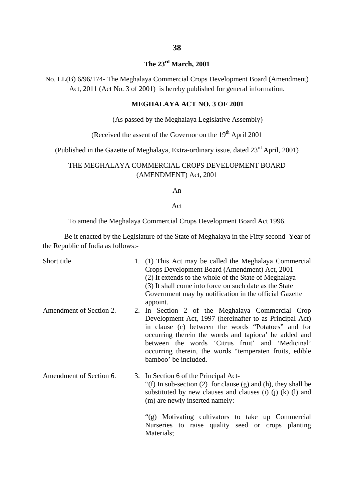## **The 23rd March, 2001**

No. LL(B) 6/96/174- The Meghalaya Commercial Crops Development Board (Amendment) Act, 2011 (Act No. 3 of 2001) is hereby published for general information.

#### **MEGHALAYA ACT NO. 3 OF 2001**

(As passed by the Meghalaya Legislative Assembly)

(Received the assent of the Governor on the  $19<sup>th</sup>$  April 2001

(Published in the Gazette of Meghalaya, Extra-ordinary issue, dated 23rd April, 2001)

#### THE MEGHALAYA COMMERCIAL CROPS DEVELOPMENT BOARD (AMENDMENT) Act, 2001

#### An

#### Act

To amend the Meghalaya Commercial Crops Development Board Act 1996.

Be it enacted by the Legislature of the State of Meghalaya in the Fifty second Year of the Republic of India as follows:-

| Short title             | 1. (1) This Act may be called the Meghalaya Commercial<br>Crops Development Board (Amendment) Act, 2001<br>(2) It extends to the whole of the State of Meghalaya<br>(3) It shall come into force on such date as the State<br>Government may by notification in the official Gazette<br>appoint.                                                                  |
|-------------------------|-------------------------------------------------------------------------------------------------------------------------------------------------------------------------------------------------------------------------------------------------------------------------------------------------------------------------------------------------------------------|
| Amendment of Section 2. | 2. In Section 2 of the Meghalaya Commercial Crop<br>Development Act, 1997 (hereinafter to as Principal Act)<br>in clause (c) between the words "Potatoes" and for<br>occurring therein the words and tapioca' be added and<br>between the words 'Citrus fruit' and 'Medicinal'<br>occurring therein, the words "temperaten fruits, edible<br>bamboo' be included. |
| Amendment of Section 6. | 3. In Section 6 of the Principal Act-<br>"(f) In sub-section (2) for clause (g) and (h), they shall be<br>substituted by new clauses and clauses (i) (j) $(k)$ (l) and<br>(m) are newly inserted namely:-                                                                                                                                                         |
|                         | "(g) Motivating cultivators to take up Commercial<br>Nurseries to raise quality seed or crops planting<br>Materials;                                                                                                                                                                                                                                              |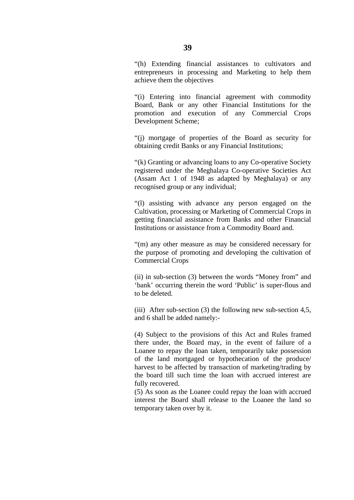"(h) Extending financial assistances to cultivators and entrepreneurs in processing and Marketing to help them achieve them the objectives

"(i) Entering into financial agreement with commodity Board, Bank or any other Financial Institutions for the promotion and execution of any Commercial Crops Development Scheme;

"(j) mortgage of properties of the Board as security for obtaining credit Banks or any Financial Institutions;

"(k) Granting or advancing loans to any Co-operative Society registered under the Meghalaya Co-operative Societies Act (Assam Act 1 of 1948 as adapted by Meghalaya) or any recognised group or any individual;

"(l) assisting with advance any person engaged on the Cultivation, processing or Marketing of Commercial Crops in getting financial assistance from Banks and other Financial Institutions or assistance from a Commodity Board and.

"(m) any other measure as may be considered necessary for the purpose of promoting and developing the cultivation of Commercial Crops

(ii) in sub-section (3) between the words "Money from" and 'bank' occurring therein the word 'Public' is super-flous and to be deleted.

(iii) After sub-section (3) the following new sub-section 4,5, and 6 shall be added namely:-

(4) Subject to the provisions of this Act and Rules framed there under, the Board may, in the event of failure of a Loanee to repay the loan taken, temporarily take possession of the land mortgaged or hypothecation of the produce/ harvest to be affected by transaction of marketing/trading by the board till such time the loan with accrued interest are fully recovered.

(5) As soon as the Loanee could repay the loan with accrued interest the Board shall release to the Loanee the land so temporary taken over by it.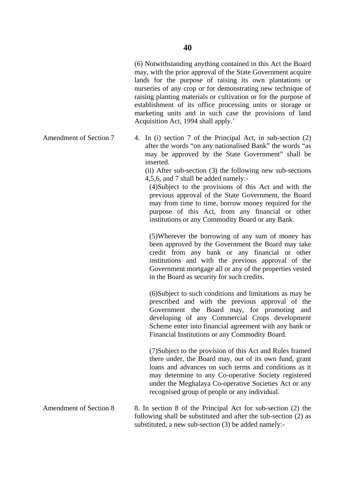(6) Notwithstanding anything contained in this Act the Board may, with the prior approval of the State Government acquire lands for the purpose of raising its own plantations or nurseries of any crop or for demonstrating new technique of raising planting materials or cultivation or for the purpose of establishment of its office processing units or storage or marketing units and in such case the provisions of land Acquisition Act, 1994 shall apply.'

4. In (i) section 7 of the Principal Act, in sub-section (2) after the words "on any nationalised Bank" the words "as may be approved by the State Government" shall be inserted.

> (ii) After sub-section (3) the following new sub-sections 4,5,6, and 7 shall be added namely:-

(4)Subject to the provisions of this Act and with the previous approval of the State Government, the Board may from time to time, borrow money required for the purpose of this Act, from any financial or other institutions or any Commodity Board or any Bank.

(5)Wherever the borrowing of any sum of money has been approved by the Government the Board may take credit from any bank or any financial or other institutions and with the previous approval of the Government mortgage all or any of the properties vested in the Board as security for such credits.

(6)Subject to such conditions and limitations as may be prescribed and with the previous approval of the Government the Board may, for promoting and developing of any Commercial Crops development Scheme enter into financial agreement with any bank or Financial Institutions or any Commodity Board.

(7)Subject to the provision of this Act and Rules framed there under, the Board may, out of its own fund, grant loans and advances on such terms and conditions as it may determine to any Co-operative Society registered under the Meghalaya Co-operative Societies Act or any recognised group of people or any individual.

Amendment of Section 8 8. In section 8 of the Principal Act for sub-section (2) the following shall be substituted and after the sub-section (2) as substituted, a new sub-section (3) be added namely:-

Amendment of Section 7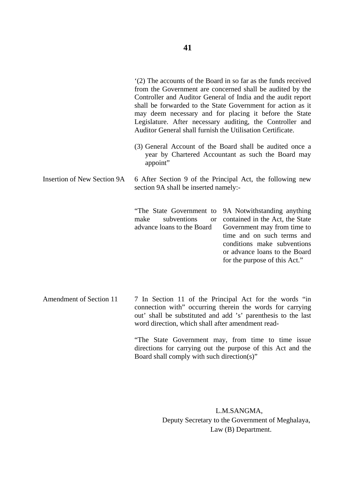'(2) The accounts of the Board in so far as the funds received from the Government are concerned shall be audited by the Controller and Auditor General of India and the audit report shall be forwarded to the State Government for action as it may deem necessary and for placing it before the State Legislature. After necessary auditing, the Controller and Auditor General shall furnish the Utilisation Certificate.

- (3) General Account of the Board shall be audited once a year by Chartered Accountant as such the Board may appoint"
- Insertion of New Section 9A 6 After Section 9 of the Principal Act, the following new section 9A shall be inserted namely:-

"The State Government to 9A Notwithstanding anything  $make$  subventions advance loans to the Board or contained in the Act, the State Government may from time to time and on such terms and conditions make subventions or advance loans to the Board for the purpose of this Act."

Amendment of Section 11 7 In Section 11 of the Principal Act for the words "in connection with" occurring therein the words for carrying out' shall be substituted and add 's' parenthesis to the last word direction, which shall after amendment read-

> "The State Government may, from time to time issue directions for carrying out the purpose of this Act and the Board shall comply with such direction(s)"

> > L.M.SANGMA, Deputy Secretary to the Government of Meghalaya, Law (B) Department.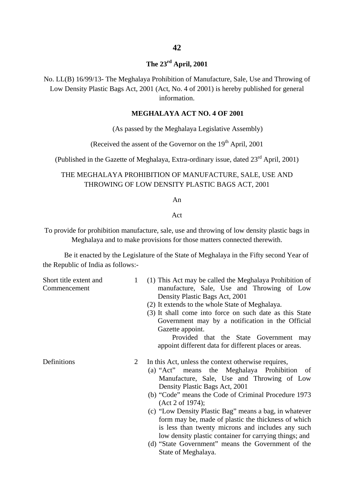### **The 23rd April, 2001**

No. LL(B) 16/99/13- The Meghalaya Prohibition of Manufacture, Sale, Use and Throwing of Low Density Plastic Bags Act, 2001 (Act, No. 4 of 2001) is hereby published for general information.

#### **MEGHALAYA ACT NO. 4 OF 2001**

(As passed by the Meghalaya Legislative Assembly)

(Received the assent of the Governor on the  $19<sup>th</sup>$  April, 2001

(Published in the Gazette of Meghalaya, Extra-ordinary issue, dated 23rd April, 2001)

#### THE MEGHALAYA PROHIBITION OF MANUFACTURE, SALE, USE AND THROWING OF LOW DENSITY PLASTIC BAGS ACT, 2001

An

#### Act

To provide for prohibition manufacture, sale, use and throwing of low density plastic bags in Meghalaya and to make provisions for those matters connected therewith.

Be it enacted by the Legislature of the State of Meghalaya in the Fifty second Year of the Republic of India as follows:-

| Short title extent and<br>Commencement | 1 | (1) This Act may be called the Meghalaya Prohibition of<br>manufacture, Sale, Use and Throwing of Low<br>Density Plastic Bags Act, 2001<br>(2) It extends to the whole State of Meghalaya.<br>(3) It shall come into force on such date as this State<br>Government may by a notification in the Official<br>Gazette appoint.<br>Provided that the State Government may<br>appoint different data for different places or areas.                                                                                                                                             |
|----------------------------------------|---|------------------------------------------------------------------------------------------------------------------------------------------------------------------------------------------------------------------------------------------------------------------------------------------------------------------------------------------------------------------------------------------------------------------------------------------------------------------------------------------------------------------------------------------------------------------------------|
| Definitions                            | 2 | In this Act, unless the context otherwise requires,<br>(a) "Act" means the Meghalaya Prohibition of<br>Manufacture, Sale, Use and Throwing of Low<br>Density Plastic Bags Act, 2001<br>(b) "Code" means the Code of Criminal Procedure 1973<br>(Act 2 of 1974);<br>(c) "Low Density Plastic Bag" means a bag, in whatever<br>form may be, made of plastic the thickness of which<br>is less than twenty microns and includes any such<br>low density plastic container for carrying things; and<br>(d) "State Government" means the Government of the<br>State of Meghalaya. |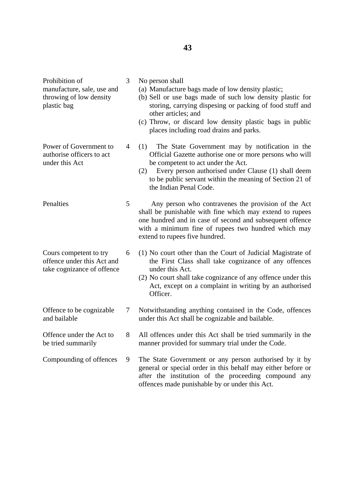| Prohibition of<br>manufacture, sale, use and<br>throwing of low density<br>plastic bag | 3 | No person shall<br>(a) Manufacture bags made of low density plastic;<br>(b) Sell or use bags made of such low density plastic for<br>storing, carrying dispesing or packing of food stuff and<br>other articles; and<br>(c) Throw, or discard low density plastic bags in public<br>places including road drains and parks. |
|----------------------------------------------------------------------------------------|---|-----------------------------------------------------------------------------------------------------------------------------------------------------------------------------------------------------------------------------------------------------------------------------------------------------------------------------|
| Power of Government to<br>authorise officers to act<br>under this Act                  | 4 | The State Government may by notification in the<br>(1)<br>Official Gazette authorise one or more persons who will<br>be competent to act under the Act.<br>Every person authorised under Clause (1) shall deem<br>(2)<br>to be public servant within the meaning of Section 21 of<br>the Indian Penal Code.                 |
| Penalties                                                                              | 5 | Any person who contravenes the provision of the Act<br>shall be punishable with fine which may extend to rupees<br>one hundred and in case of second and subsequent offence<br>with a minimum fine of rupees two hundred which may<br>extend to rupees five hundred.                                                        |
| Cours competent to try<br>offence under this Act and<br>take cognizance of offence     | 6 | (1) No court other than the Court of Judicial Magistrate of<br>the First Class shall take cognizance of any offences<br>under this Act.<br>(2) No court shall take cognizance of any offence under this<br>Act, except on a complaint in writing by an authorised<br>Officer.                                               |
| Offence to be cognizable<br>and bailable                                               | 7 | Notwithstanding anything contained in the Code, offences<br>under this Act shall be cognizable and bailable.                                                                                                                                                                                                                |
| Offence under the Act to<br>be tried summarily                                         | 8 | All offences under this Act shall be tried summarily in the<br>manner provided for summary trial under the Code.                                                                                                                                                                                                            |
| Compounding of offences                                                                | 9 | The State Government or any person authorised by it by<br>general or special order in this behalf may either before or<br>after the institution of the proceeding compound any<br>offences made punishable by or under this Act.                                                                                            |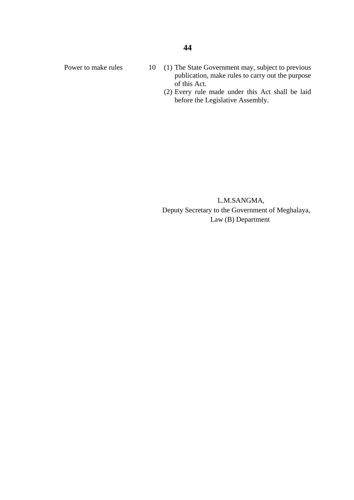- Power to make rules 10 (1) The State Government may, subject to previous publication, make rules to carry out the purpose of this Act.
	- (2) Every rule made under this Act shall be laid before the Legislative Assembly.

 L.M.SANGMA, Deputy Secretary to the Government of Meghalaya, Law (B) Department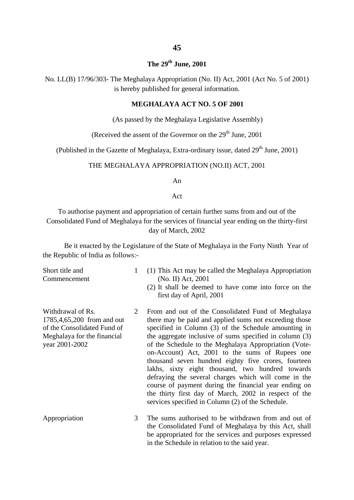#### **The 29th June, 2001**

No. LL(B) 17/96/303- The Meghalaya Appropriation (No. II) Act, 2001 (Act No. 5 of 2001) is hereby published for general information.

#### **MEGHALAYA ACT NO. 5 OF 2001**

(As passed by the Meghalaya Legislative Assembly)

(Received the assent of the Governor on the  $29<sup>th</sup>$  June, 2001

(Published in the Gazette of Meghalaya, Extra-ordinary issue, dated  $29<sup>th</sup>$  June, 2001)

#### THE MEGHALAYA APPROPRIATION (NO.II) ACT, 2001

An

Act

To authorise payment and appropriation of certain further sums from and out of the Consolidated Fund of Meghalaya for the services of financial year ending on the thirty-first day of March, 2002

Be it enacted by the Legislature of the State of Meghalaya in the Forty Ninth Year of the Republic of India as follows:-

Short title and Commencement

- 1 (1) This Act may be called the Meghalaya Appropriation (No. II) Act, 2001
	- (2) It shall be deemed to have come into force on the first day of April, 2001
- Withdrawal of Rs. 1785,4,65,200 from and out of the Consolidated Fund of Meghalaya for the financial year 2001-2002 2 From and out of the Consolidated Fund of Meghalaya there may be paid and applied sums not exceeding those specified in Column (3) of the Schedule amounting in the aggregate inclusive of sums specified in column (3) of the Schedule to the Meghalaya Appropriation (Voteon-Account) Act, 2001 to the sums of Rupees one thousand seven hundred eighty five crores, fourteen lakhs, sixty eight thousand, two hundred towards defraying the several charges which will come in the course of payment during the financial year ending on the thirty first day of March, 2002 in respect of the services specified in Column (2) of the Schedule.
- Appropriation 3 The sums authorised to be withdrawn from and out of the Consolidated Fund of Meghalaya by this Act, shall be appropriated for the services and purposes expressed in the Schedule in relation to the said year.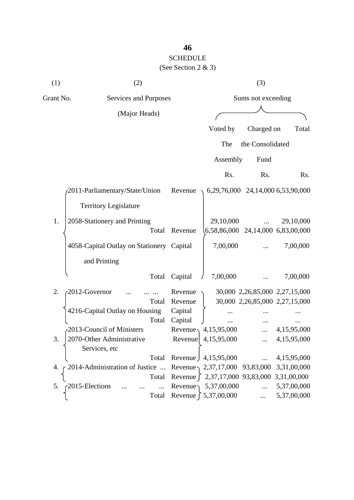## **46** SCHEDULE (See Section 2 & 3)

| (1)       | (2)                                       |         |                           | (3)                                              |                                    |
|-----------|-------------------------------------------|---------|---------------------------|--------------------------------------------------|------------------------------------|
| Grant No. | Services and Purposes                     |         |                           | Sums not exceeding                               |                                    |
|           | (Major Heads)                             |         |                           |                                                  |                                    |
|           |                                           |         | Voted by                  | Charged on                                       | Total                              |
|           |                                           |         | The                       | the Consolidated                                 |                                    |
|           |                                           |         | Assembly                  | Fund                                             |                                    |
|           |                                           |         | Rs.                       | Rs.                                              | Rs.                                |
|           | 2011-Parliamentary/State/Union            | Revenue |                           | 6,29,76,000 24,14,000 6,53,90,000                |                                    |
|           | <b>Territory Legislature</b>              |         |                           |                                                  |                                    |
| 1.        | 2058-Stationery and Printing<br>Total     | Revenue | 29,10,000<br>6,58,86,000  |                                                  | 29,10,000<br>24,14,000 6,83,00,000 |
|           | 4058-Capital Outlay on Stationery Capital |         | 7,00,000                  |                                                  | 7,00,000                           |
|           | and Printing                              |         |                           |                                                  |                                    |
|           | Total                                     | Capital | 7,00,000                  |                                                  | 7,00,000                           |
| 2.        | 2012-Governor                             | Revenue |                           | 30,000 2,26,85,000 2,27,15,000                   |                                    |
|           | Total                                     | Revenue |                           | 30,000 2,26,85,000 2,27,15,000                   |                                    |
|           | 4216-Capital Outlay on Housing            | Capital |                           |                                                  |                                    |
|           | Total                                     | Capital |                           |                                                  |                                    |
|           | 2013-Council of Ministers                 | Revenue | 4,15,95,000               |                                                  | 4,15,95,000                        |
| 3.        | 2070-Other Administrative                 | Revenue | 4,15,95,000               |                                                  | 4,15,95,000                        |
|           | Services, etc                             |         |                           |                                                  |                                    |
|           | Total                                     |         | Revenue 1, 4, 15, 95, 000 | $\dddotsc$                                       | 4,15,95,000                        |
| 4.        | $\sim$ 2014-Administration of Justice     |         |                           | Revenue, 2,37,17,000 93,83,000 3,31,00,000       |                                    |
|           | Total                                     |         |                           | Revenue $\int 2,37,17,000$ 93,83,000 3,31,00,000 |                                    |
| 5.        | -2015-Elections                           | Revenue | 5,37,00,000               | $\dddotsc$                                       | 5,37,00,000                        |
|           | Total                                     |         | Revenue ∫ 5,37,00,000     |                                                  | 5,37,00,000                        |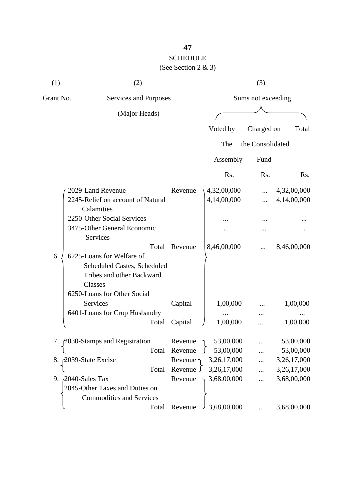# SCHEDULE

| (1)       | (2)                                                                                              |                  |             | (3)                |             |
|-----------|--------------------------------------------------------------------------------------------------|------------------|-------------|--------------------|-------------|
| Grant No. | Services and Purposes                                                                            |                  |             | Sums not exceeding |             |
|           | (Major Heads)                                                                                    |                  |             |                    |             |
|           |                                                                                                  |                  | Voted by    | Charged on         | Total       |
|           |                                                                                                  |                  | The         | the Consolidated   |             |
|           |                                                                                                  |                  | Assembly    | Fund               |             |
|           |                                                                                                  |                  | Rs.         | Rs.                | Rs.         |
|           | 2029-Land Revenue                                                                                | Revenue          | 4,32,00,000 |                    | 4,32,00,000 |
|           | 2245-Relief on account of Natural<br>Calamities                                                  |                  | 4,14,00,000 |                    | 4,14,00,000 |
|           | 2250-Other Social Services                                                                       |                  |             |                    |             |
|           | 3475-Other General Economic<br>Services                                                          |                  |             |                    |             |
|           | Total                                                                                            | Revenue          | 8,46,00,000 |                    | 8,46,00,000 |
| 6.        | 6225-Loans for Welfare of<br>Scheduled Castes, Scheduled<br>Tribes and other Backward<br>Classes |                  |             |                    |             |
|           | 6250-Loans for Other Social<br>Services                                                          | Capital          | 1,00,000    |                    | 1,00,000    |
|           | 6401-Loans for Crop Husbandry                                                                    |                  |             |                    |             |
|           | Total                                                                                            | Capital          | 1,00,000    |                    | 1,00,000    |
|           | 7. 2030-Stamps and Registration                                                                  | Revenue $\gamma$ | 53,00,000   |                    | 53,00,000   |
|           | Total                                                                                            | Revenue          | 53,00,000   |                    | 53,00,000   |
|           | 8. 2039-State Excise                                                                             | Revenue          | 3,26,17,000 |                    | 3,26,17,000 |
|           | Total                                                                                            | Revenue J        | 3,26,17,000 |                    | 3,26,17,000 |
|           | 9. 2040-Sales Tax<br>2045-Other Taxes and Duties on<br><b>Commodities and Services</b>           | Revenue          | 3,68,00,000 | .                  | 3,68,00,000 |
|           | Total                                                                                            | Revenue          | 3,68,00,000 |                    | 3,68,00,000 |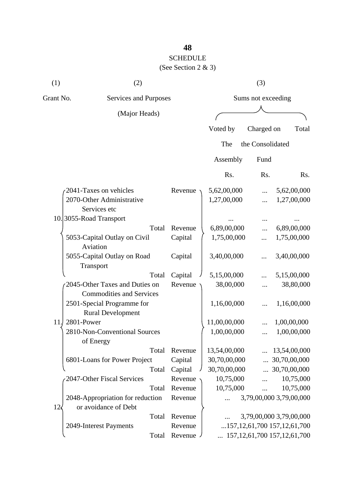## SCHEDULE

| (1)             | (2)                                                               |       |         |              |           | (3)                |                                            |       |
|-----------------|-------------------------------------------------------------------|-------|---------|--------------|-----------|--------------------|--------------------------------------------|-------|
| Grant No.       | Services and Purposes                                             |       |         |              |           | Sums not exceeding |                                            |       |
|                 | (Major Heads)                                                     |       |         |              |           |                    |                                            |       |
|                 |                                                                   |       |         | Voted by     |           | Charged on         |                                            | Total |
|                 |                                                                   |       |         | The          |           | the Consolidated   |                                            |       |
|                 |                                                                   |       |         | Assembly     |           | Fund               |                                            |       |
|                 |                                                                   |       |         | Rs.          |           | Rs.                |                                            | Rs.   |
|                 | 2041-Taxes on vehicles                                            |       | Revenue | 5,62,00,000  |           | $\cdots$           | 5,62,00,000                                |       |
|                 | 2070-Other Administrative<br>Services etc                         |       |         | 1,27,00,000  |           |                    | 1,27,00,000                                |       |
|                 | 10.3055-Road Transport                                            |       |         |              |           |                    |                                            |       |
|                 |                                                                   | Total | Revenue | 6,89,00,000  |           |                    | 6,89,00,000                                |       |
|                 | 5053-Capital Outlay on Civil<br>Aviation                          |       | Capital | 1,75,00,000  |           |                    | 1,75,00,000                                |       |
|                 | 5055-Capital Outlay on Road<br>Transport                          |       | Capital | 3,40,00,000  |           |                    | 3,40,00,000                                |       |
|                 |                                                                   | Total | Capital | 5,15,00,000  |           |                    | 5,15,00,000                                |       |
|                 | 2045-Other Taxes and Duties on<br><b>Commodities and Services</b> |       | Revenue |              | 38,00,000 |                    | 38,80,000                                  |       |
|                 | 2501-Special Programme for<br><b>Rural Development</b>            |       |         | 1,16,00,000  |           |                    | 1,16,00,000                                |       |
| 11.             | 2801-Power                                                        |       |         | 11,00,00,000 |           |                    | 1,00,00,000                                |       |
|                 | 2810-Non-Conventional Sources<br>of Energy                        |       |         | 1,00,00,000  |           |                    | 1,00,00,000                                |       |
|                 |                                                                   | Total | Revenue | 13,54,00,000 |           |                    | 13,54,00,000                               |       |
|                 | 6801-Loans for Power Project                                      |       | Capital | 30,70,00,000 |           |                    | 30,70,00,000                               |       |
|                 |                                                                   | Total | Capital | 30,70,00,000 |           | $\dddotsc$         | 30,70,00,000                               |       |
|                 | 2047-Other Fiscal Services                                        |       | Revenue |              | 10,75,000 |                    | 10,75,000                                  |       |
|                 |                                                                   | Total | Revenue |              | 10,75,000 |                    | 10,75,000                                  |       |
| 12 <sub>1</sub> | 2048-Appropriation for reduction<br>or avoidance of Debt          |       | Revenue | $\ddotsc$    |           |                    | 3,79,00,000 3,79,00,000                    |       |
|                 |                                                                   | Total | Revenue |              |           |                    | 3,79,00,000 3,79,00,000                    |       |
|                 | 2049-Interest Payments                                            |       | Revenue |              |           |                    | 157, 12, 61, 700157, 12, 61, 700           |       |
|                 |                                                                   | Total | Revenue |              |           |                    | $\ldots$ 157, 12, 61, 700 157, 12, 61, 700 |       |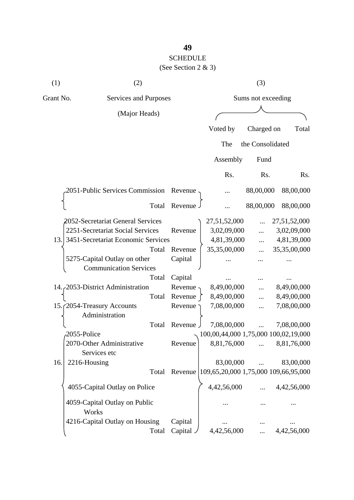# SCHEDULE

| (1)       | (2)                                                           |                      |                                      | (3)                |                          |
|-----------|---------------------------------------------------------------|----------------------|--------------------------------------|--------------------|--------------------------|
| Grant No. | Services and Purposes                                         |                      |                                      | Sums not exceeding |                          |
|           | (Major Heads)                                                 |                      |                                      |                    |                          |
|           |                                                               |                      | Voted by                             | Charged on         | Total                    |
|           |                                                               |                      | The                                  | the Consolidated   |                          |
|           |                                                               |                      | Assembly                             | Fund               |                          |
|           |                                                               |                      | Rs.                                  | Rs.                | Rs.                      |
|           | 2051-Public Services Commission                               | Revenue              |                                      | 88,00,000          | 88,00,000                |
|           | Total                                                         | Revenue.             |                                      | 88,00,000          | 88,00,000                |
|           | 2052-Secretariat General Services                             |                      | 27,51,52,000                         |                    | 27,51,52,000             |
|           | 2251-Secretariat Social Services                              | Revenue              | 3,02,09,000                          |                    | 3,02,09,000              |
| 13.       | 3451-Secretariat Economic Services                            |                      | 4,81,39,000                          | $\cdots$           | 4,81,39,000              |
|           | Total                                                         | Revenue              | 35,35,00,000                         |                    | 35,35,00,000             |
|           | 5275-Capital Outlay on other<br><b>Communication Services</b> | Capital              |                                      |                    |                          |
|           | Total                                                         | Capital              |                                      |                    |                          |
|           |                                                               |                      |                                      |                    |                          |
|           | 14. 2053-District Administration                              | Revenue              | 8,49,00,000                          |                    | 8,49,00,000              |
|           | Total                                                         | Revenue              | 8,49,00,000                          |                    | 8,49,00,000              |
|           | 15. (2054-Treasury Accounts<br>Administration                 | Revenue              | 7,08,00,000                          |                    | 7,08,00,000              |
|           | Total                                                         | Revenue,             | 7,08,00,000                          |                    | 7,08,00,000              |
|           | 2055-Police                                                   |                      | 100,00,44,000 1,75,000 100,02,19,000 |                    |                          |
|           | 2070-Other Administrative<br>Services etc                     | Revenue              |                                      |                    | 8,81,76,000  8,81,76,000 |
| 16.       | 2216-Housing                                                  |                      | 83,00,000                            |                    | 83,00,000                |
|           | Total                                                         | Revenue              | 109,65,20,000 1,75,000 109,66,95,000 |                    |                          |
|           | 4055-Capital Outlay on Police                                 |                      | 4,42,56,000                          |                    | 4,42,56,000              |
|           | 4059-Capital Outlay on Public<br>Works                        |                      |                                      |                    |                          |
|           | 4216-Capital Outlay on Housing                                | Capital              |                                      |                    |                          |
|           | Total                                                         | Capital <sub>~</sub> | 4,42,56,000                          |                    | 4,42,56,000              |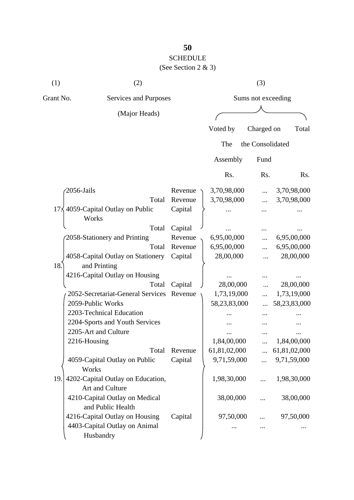# SCHEDULE

| (1)             | (2)                                                  |         |              | (3)                |              |
|-----------------|------------------------------------------------------|---------|--------------|--------------------|--------------|
|                 | Grant No.<br>Services and Purposes                   |         |              | Sums not exceeding |              |
|                 | (Major Heads)                                        |         |              |                    |              |
|                 |                                                      |         | Voted by     | Charged on         | Total        |
|                 |                                                      |         | The          | the Consolidated   |              |
|                 |                                                      |         | Assembly     | Fund               |              |
|                 |                                                      |         | Rs.          | Rs.                | Rs.          |
|                 | 2056-Jails                                           | Revenue | 3,70,98,000  |                    | 3,70,98,000  |
|                 | Total                                                | Revenue | 3,70,98,000  |                    | 3,70,98,000  |
| 17 <sub>5</sub> | 4059-Capital Outlay on Public<br>Works               | Capital |              |                    |              |
|                 | Total                                                | Capital |              |                    |              |
|                 | 2058-Stationery and Printing                         | Revenue | 6,95,00,000  |                    | 6,95,00,000  |
|                 | Total                                                | Revenue | 6,95,00,000  |                    | 6,95,00,000  |
|                 | 4058-Capital Outlay on Stationery                    | Capital | 28,00,000    |                    | 28,00,000    |
| 18.             | and Printing                                         |         |              |                    |              |
|                 | 4216-Capital Outlay on Housing                       |         |              |                    |              |
|                 | Total                                                | Capital | 28,00,000    |                    | 28,00,000    |
|                 | 2052-Secretariat-General Services                    | Revenue | 1,73,19,000  | .                  | 1,73,19,000  |
|                 | 2059-Public Works                                    |         | 58,23,83,000 |                    | 58,23,83,000 |
|                 | 2203-Technical Education                             |         |              |                    |              |
|                 | 2204-Sports and Youth Services                       |         |              |                    |              |
|                 | 2205-Art and Culture                                 |         |              |                    |              |
|                 | 2216-Housing                                         |         | 1,84,00,000  |                    | 1,84,00,000  |
|                 | Total                                                | Revenue | 61,81,02,000 | $\dddotsc$         | 61,81,02,000 |
|                 | 4059-Capital Outlay on Public<br>Works               | Capital | 9,71,59,000  | $\cdots$           | 9,71,59,000  |
| 19.             | 4202-Capital Outlay on Education,<br>Art and Culture |         | 1,98,30,000  |                    | 1,98,30,000  |
|                 | 4210-Capital Outlay on Medical<br>and Public Health  |         | 38,00,000    |                    | 38,00,000    |
|                 | 4216-Capital Outlay on Housing                       | Capital | 97,50,000    |                    | 97,50,000    |
|                 | 4403-Capital Outlay on Animal<br>Husbandry           |         |              |                    |              |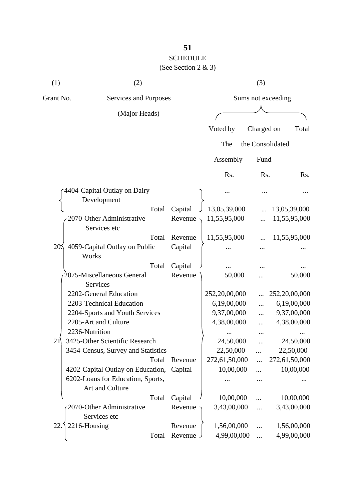## **51** SCHEDULE

(See Section 2 & 3)

| (1)             | (2)                                       |       |          |                    | (3)              |               |  |
|-----------------|-------------------------------------------|-------|----------|--------------------|------------------|---------------|--|
| Grant No.       | Services and Purposes                     |       |          | Sums not exceeding |                  |               |  |
|                 | (Major Heads)                             |       |          |                    |                  |               |  |
|                 |                                           |       |          | Voted by           | Charged on       | Total         |  |
|                 |                                           |       |          | The                | the Consolidated |               |  |
|                 |                                           |       |          | Assembly           | Fund             |               |  |
|                 |                                           |       |          | Rs.                | Rs.              | Rs.           |  |
|                 | 4404-Capital Outlay on Dairy              |       |          |                    |                  |               |  |
|                 | Development                               |       |          |                    |                  |               |  |
|                 |                                           | Total | Capital  | 13,05,39,000       |                  | 13,05,39,000  |  |
|                 | 2070-Other Administrative<br>Services etc |       | Revenue  | 11,55,95,000       |                  | 11,55,95,000  |  |
|                 |                                           | Total | Revenue  | 11,55,95,000       |                  | 11,55,95,000  |  |
| 20 <sub>2</sub> | 4059-Capital Outlay on Public<br>Works    |       | Capital  |                    |                  |               |  |
|                 |                                           | Total | Capital  |                    |                  |               |  |
|                 | 2075-Miscellaneous General<br>Services    |       | Revenue  | 50,000             |                  | 50,000        |  |
|                 | 2202-General Education                    |       |          | 252,20,00,000      |                  | 252,20,00,000 |  |
|                 | 2203-Technical Education                  |       |          | 6,19,00,000        | $\dddotsc$       | 6,19,00,000   |  |
|                 | 2204-Sports and Youth Services            |       |          | 9,37,00,000        |                  | 9,37,00,000   |  |
|                 | 2205-Art and Culture                      |       |          | 4,38,00,000        |                  | 4,38,00,000   |  |
|                 | 2236-Nutrition                            |       |          |                    |                  |               |  |
| 21              | 3425-Other Scientific Research            |       |          | 24,50,000          |                  | 24,50,000     |  |
|                 | 3454-Census, Survey and Statistics        |       |          | 22,50,000          |                  | 22,50,000     |  |
|                 |                                           | Total | Revenue  | 272,61,50,000      | $\cdots$         | 272,61,50,000 |  |
|                 | 4202-Capital Outlay on Education,         |       | Capital  | 10,00,000          |                  | 10,00,000     |  |
|                 | 6202-Loans for Education, Sports,         |       |          |                    |                  |               |  |
|                 | Art and Culture                           |       |          |                    |                  |               |  |
|                 |                                           | Total | Capital  | 10,00,000          |                  | 10,00,000     |  |
|                 | 2070-Other Administrative<br>Services etc |       | Revenue  | 3,43,00,000        | $\cdots$         | 3,43,00,000   |  |
| 22.             | 2216-Housing                              |       | Revenue  | 1,56,00,000        |                  | 1,56,00,000   |  |
|                 |                                           | Total | Revenue. | 4,99,00,000        | $\ddots$         | 4,99,00,000   |  |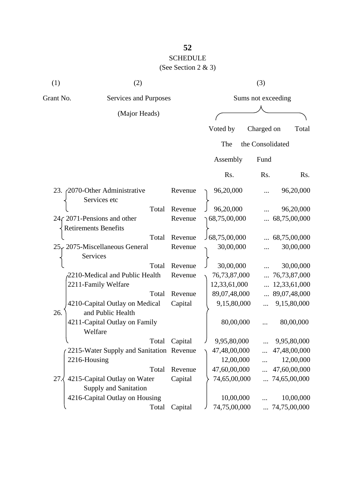## **52** SCHEDULE (See Section 2 & 3)

| (1)       | (2)                                                          |         | (3)            |                          |  |  |
|-----------|--------------------------------------------------------------|---------|----------------|--------------------------|--|--|
| Grant No. | Services and Purposes                                        |         |                | Sums not exceeding       |  |  |
|           | (Major Heads)                                                |         |                |                          |  |  |
|           |                                                              |         | Voted by       | Charged on<br>Total      |  |  |
|           |                                                              |         | The            | the Consolidated         |  |  |
|           |                                                              |         |                |                          |  |  |
|           |                                                              |         | Assembly       | Fund                     |  |  |
|           |                                                              |         | Rs.            | Rs.<br>Rs.               |  |  |
| 23.       | 2070-Other Administrative<br>Services etc                    | Revenue | 96,20,000      | 96,20,000<br>.           |  |  |
|           | Total                                                        | Revenue | 96,20,000      | 96,20,000                |  |  |
|           | 24 (2071-Pensions and other<br><b>Retirements Benefits</b>   | Revenue | 68,75,00,000   | 68,75,00,000             |  |  |
|           | Total                                                        | Revenue | J 68,75,00,000 | $\ldots$ 68,75,00,000    |  |  |
|           | 25, 2075-Miscellaneous General<br>Services                   | Revenue | 30,00,000      | 30,00,000<br>            |  |  |
|           | Total                                                        | Revenue | 30,00,000      | 30,00,000                |  |  |
|           | 2210-Medical and Public Health                               | Revenue | 76,73,87,000   | 76,73,87,000             |  |  |
|           | 2211-Family Welfare                                          |         | 12,33,61,000   | 12,33,61,000             |  |  |
|           | Total                                                        | Revenue | 89,07,48,000   | $\ldots$ 89,07,48,000    |  |  |
| 26.       | 4210-Capital Outlay on Medical<br>and Public Health          | Capital | 9,15,80,000    | 9,15,80,000              |  |  |
|           | 4211-Capital Outlay on Family<br>Welfare                     |         | 80,00,000      | 80,00,000                |  |  |
|           | Total                                                        | Capital | 9,95,80,000    | 9,95,80,000              |  |  |
|           | 2215-Water Supply and Sanitation Revenue                     |         | 47,48,00,000   | $\ldots$ 47,48,00,000    |  |  |
|           | 2216-Housing                                                 |         | 12,00,000      | 12,00,000<br>$\dddotsc$  |  |  |
|           | Total                                                        | Revenue | 47,60,00,000   | 47,60,00,000<br>$\cdots$ |  |  |
| 27.4      | 4215-Capital Outlay on Water<br><b>Supply and Sanitation</b> | Capital | 74,65,00,000   | $\ldots$ 74,65,00,000    |  |  |
|           | 4216-Capital Outlay on Housing                               |         | 10,00,000      | 10,00,000                |  |  |
|           | Total                                                        | Capital | 74,75,00,000   | $\ldots$ 74,75,00,000    |  |  |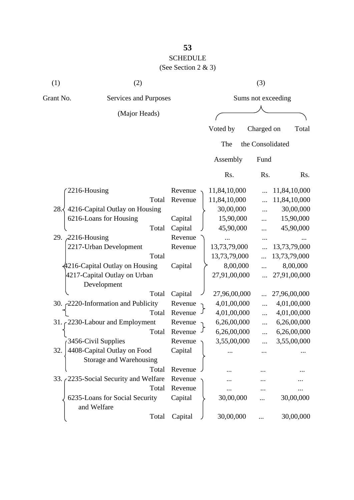## **53** SCHEDULE

| (1)       | (2)                                           |         | (3)                |                  |              |  |
|-----------|-----------------------------------------------|---------|--------------------|------------------|--------------|--|
| Grant No. | Services and Purposes                         |         | Sums not exceeding |                  |              |  |
|           | (Major Heads)                                 |         |                    |                  |              |  |
|           |                                               |         | Voted by           | Charged on       | Total        |  |
|           |                                               |         |                    |                  |              |  |
|           |                                               |         | The                | the Consolidated |              |  |
|           |                                               |         | Assembly           | Fund             |              |  |
|           |                                               |         | Rs.                | Rs.              | Rs.          |  |
|           | 2216-Housing                                  | Revenue | 11,84,10,000       |                  | 11,84,10,000 |  |
|           | Total                                         | Revenue | 11,84,10,000       |                  | 11,84,10,000 |  |
| 28.       | 4216-Capital Outlay on Housing                |         | 30,00,000          |                  | 30,00,000    |  |
|           | 6216-Loans for Housing                        | Capital | 15,90,000          |                  | 15,90,000    |  |
|           | Total                                         | Capital | 45,90,000          |                  | 45,90,000    |  |
|           | 29. 2216-Housing                              | Revenue |                    |                  |              |  |
|           | 2217-Urban Development                        | Revenue | 13,73,79,000       |                  | 13,73,79,000 |  |
|           | Total                                         |         | 13,73,79,000       |                  | 13,73,79,000 |  |
|           | 4216-Capital Outlay on Housing                | Capital | 8,00,000           |                  | 8,00,000     |  |
|           | 4217-Capital Outlay on Urban                  |         | 27,91,00,000       |                  | 27,91,00,000 |  |
|           | Development                                   |         |                    |                  |              |  |
|           | Total                                         | Capital | 27,96,00,000       |                  | 27,96,00,000 |  |
|           | 30. 2220-Information and Publicity            | Revenue | 4,01,00,000        | $\cdots$         | 4,01,00,000  |  |
|           | Total                                         | Revenue | 4,01,00,000        |                  | 4,01,00,000  |  |
|           | 31. $\sim$ 2230-Labour and Employment         | Revenue | 6,26,00,000        | .                | 6,26,00,000  |  |
|           | Total                                         | Revenue | 6,26,00,000        |                  | 6,26,00,000  |  |
|           | 3456-Civil Supplies                           | Revenue | 3,55,00,000        |                  | 3,55,00,000  |  |
| 32.       | 4408-Capital Outlay on Food                   | Capital |                    |                  |              |  |
|           | Storage and Warehousing                       |         |                    |                  |              |  |
|           | Total                                         | Revenue |                    |                  |              |  |
| 33.7      | 2235-Social Security and Welfare              | Revenue |                    |                  |              |  |
|           | Total                                         | Revenue |                    |                  |              |  |
|           | 6235-Loans for Social Security<br>and Welfare | Capital | 30,00,000          |                  | 30,00,000    |  |
|           | Total                                         | Capital | 30,00,000          |                  | 30,00,000    |  |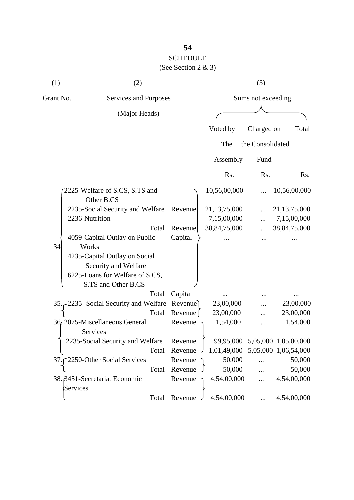# SCHEDULE

| (1)       | (2)                                          |                 |                                  | (3)                |                                |
|-----------|----------------------------------------------|-----------------|----------------------------------|--------------------|--------------------------------|
| Grant No. | Services and Purposes                        |                 |                                  | Sums not exceeding |                                |
|           | (Major Heads)                                |                 |                                  |                    |                                |
|           |                                              |                 | Voted by                         | Charged on         | Total                          |
|           |                                              |                 | The                              | the Consolidated   |                                |
|           |                                              |                 | Assembly                         | Fund               |                                |
|           |                                              |                 | Rs.                              | Rs.                | Rs.                            |
|           | 2225-Welfare of S.CS, S.TS and<br>Other B.CS |                 | 10,56,00,000                     |                    | 10,56,00,000                   |
|           | 2235-Social Security and Welfare             | Revenue         | 21, 13, 75, 000                  |                    | 21, 13, 75, 000                |
|           | 2236-Nutrition                               |                 | 7,15,00,000                      |                    | 7,15,00,000                    |
|           | Total                                        | Revenue         | 38, 84, 75, 000                  |                    | 38, 84, 75, 000                |
| 34        | 4059-Capital Outlay on Public<br>Works       | Capital         |                                  |                    |                                |
|           | 4235-Capital Outlay on Social                |                 |                                  |                    |                                |
|           | Security and Welfare                         |                 |                                  |                    |                                |
|           | 6225-Loans for Welfare of S.CS,              |                 |                                  |                    |                                |
|           | S.TS and Other B.CS                          |                 |                                  |                    |                                |
|           | Total                                        | Capital         |                                  |                    |                                |
|           | 35. - 2235 - Social Security and Welfare     | Revenue         | 23,00,000                        |                    | 23,00,000                      |
|           | Total                                        | Revenue         | 23,00,000                        |                    | 23,00,000                      |
|           | 36, 2075-Miscellaneous General<br>Services   | Revenue         | 1,54,000                         | .                  | 1,54,000                       |
|           | 2235-Social Security and Welfare             | Revenue         |                                  |                    | 99,95,000 5,05,000 1,05,00,000 |
|           |                                              | Total Revenue J | 1,01,49,000 5,05,000 1,06,54,000 |                    |                                |
|           | 37. [2250-Other Social Services              | Revenue         | 50,000                           |                    | 50,000                         |
|           | Total                                        | Revenue         | 50,000                           | .                  | 50,000                         |
|           | 38. 3451-Secretariat Economic<br>Services    | Revenue         | 4,54,00,000                      | $\ddots$           | 4,54,00,000                    |
|           |                                              | Total Revenue . | 4,54,00,000                      | $\ddotsc$          | 4,54,00,000                    |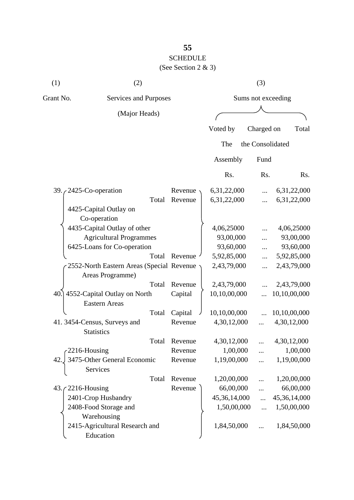# **55** SCHEDULE

# (See Section 2 & 3) (1)  $(2)$   $(3)$

| Grant No.<br>Services and Purposes |                                             | Sums not exceeding |              |                  |              |
|------------------------------------|---------------------------------------------|--------------------|--------------|------------------|--------------|
|                                    | (Major Heads)                               |                    |              |                  |              |
|                                    |                                             |                    | Voted by     | Charged on       | Total        |
|                                    |                                             |                    |              |                  |              |
|                                    |                                             |                    | The          | the Consolidated |              |
|                                    |                                             |                    | Assembly     | Fund             |              |
|                                    |                                             |                    | Rs.          | Rs.              | Rs.          |
|                                    | 39. $\sim$ 2425-Co-operation                | Revenue            | 6,31,22,000  |                  | 6,31,22,000  |
|                                    | Total                                       | Revenue            | 6,31,22,000  |                  | 6,31,22,000  |
|                                    | 4425-Capital Outlay on                      |                    |              |                  |              |
|                                    | Co-operation                                |                    |              |                  |              |
|                                    | 4435-Capital Outlay of other                |                    | 4,06,25000   |                  | 4,06,25000   |
| <b>Agricultural Programmes</b>     |                                             |                    | 93,00,000    |                  | 93,00,000    |
|                                    | 6425-Loans for Co-operation                 |                    | 93,60,000    |                  | 93,60,000    |
|                                    | Total                                       | Revenue            | 5,92,85,000  | $\cdots$         | 5,92,85,000  |
|                                    | 2552-North Eastern Areas (Special Revenue)  |                    | 2,43,79,000  |                  | 2,43,79,000  |
|                                    | Areas Programme)                            |                    |              |                  |              |
|                                    | Total                                       | Revenue            | 2,43,79,000  |                  | 2,43,79,000  |
|                                    | 40.] 4552-Capital Outlay on North           | Capital            | 10,10,00,000 |                  | 10,10,00,000 |
|                                    | <b>Eastern Areas</b>                        |                    |              |                  |              |
|                                    | Total                                       | Capital            | 10,10,00,000 |                  | 10,10,00,000 |
|                                    | 41.3454-Census, Surveys and                 | Revenue            | 4,30,12,000  |                  | 4,30,12,000  |
|                                    | <b>Statistics</b>                           |                    |              |                  |              |
|                                    | Total                                       | Revenue            | 4,30,12,000  |                  | 4,30,12,000  |
|                                    | 2216-Housing                                | Revenue            | 1,00,000     |                  | 1,00,000     |
|                                    | 42. 3475-Other General Economic<br>Services | Revenue            | 1,19,00,000  |                  | 1,19,00,000  |
|                                    | Total                                       | Revenue            | 1,20,00,000  |                  | 1,20,00,000  |
|                                    | $43.72216$ -Housing                         | Revenue            | 66,00,000    | $\ddots$         | 66,00,000    |
|                                    | 2401-Crop Husbandry                         |                    | 45,36,14,000 | $\dddotsc$       | 45,36,14,000 |
|                                    | 2408-Food Storage and                       |                    | 1,50,00,000  | $\ddots$         | 1,50,00,000  |
|                                    | Warehousing                                 |                    |              |                  |              |
|                                    | 2415-Agricultural Research and<br>Education |                    | 1,84,50,000  |                  | 1,84,50,000  |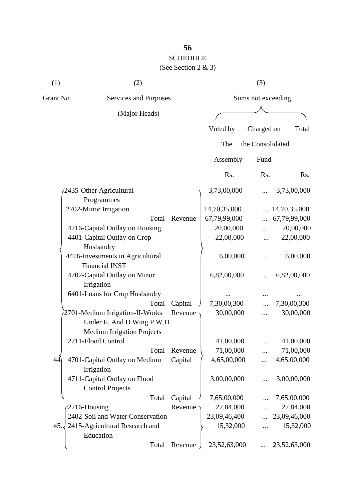## SCHEDULE (See Section 2 & 3)

| (1)       | (2)                                                          |           |                    | (3)              |              |  |
|-----------|--------------------------------------------------------------|-----------|--------------------|------------------|--------------|--|
| Grant No. | Services and Purposes                                        |           | Sums not exceeding |                  |              |  |
|           | (Major Heads)                                                |           |                    |                  |              |  |
|           |                                                              |           | Voted by           | Charged on       | Total        |  |
|           |                                                              |           | The                | the Consolidated |              |  |
|           |                                                              |           | Assembly           | Fund             |              |  |
|           |                                                              |           | Rs.                | Rs.              | Rs.          |  |
|           | 2435-Other Agricultural<br>Programmes                        |           | 3,73,00,000        |                  | 3,73,00,000  |  |
|           | 2702-Minor Irrigation                                        |           | 14,70,35,000       |                  | 14,70,35,000 |  |
|           | Total                                                        | Revenue   | 67,79,99,000       |                  | 67,79,99,000 |  |
|           | 4216-Capital Outlay on Housing                               |           | 20,00,000          |                  | 20,00,000    |  |
|           | 4401-Capital Outlay on Crop<br>Husbandry                     |           | 22,00,000          |                  | 22,00,000    |  |
|           | 4416-Investments in Agricultural<br><b>Financial INST</b>    |           | 6,00,000           |                  | 6,00,000     |  |
|           | 4702-Capital Outlay on Minor<br>Irrigation                   |           | 6,82,00,000        |                  | 6,82,00,000  |  |
|           | 6401-Loans for Crop Husbandry                                |           |                    |                  |              |  |
|           | Total                                                        | Capital   | 7,30,00,300        |                  | 7,30,00,300  |  |
|           | 2701-Medium Irrigation-II-Works<br>Under E. And D Wing P.W.D | Revenue   | 30,00,000          |                  | 30,00,000    |  |
|           | <b>Medium Irrigation Projects</b>                            |           |                    |                  |              |  |
|           | 2711-Flood Control                                           |           | 41,00,000          |                  | 41,00,000    |  |
|           | Total                                                        | Revenue   | 71,00,000          |                  | 71,00,000    |  |
| 44        | 4701-Capital Outlay on Medium<br>Irrigation                  | Capital   | 4,65,00,000        | $\cdots$         | 4,65,00,000  |  |
|           | 4711-Capital Outlay on Flood<br><b>Control Projects</b>      |           | 3,00,00,000        | $\cdots$         | 3,00,00,000  |  |
|           | Total                                                        | Capital   | 7,65,00,000        |                  | 7,65,00,000  |  |
|           | 2216-Housing                                                 | Revenue · | 27,84,000          |                  | 27,84,000    |  |
|           | 2402-Soil and Water Conservation                             |           | 23,09,46,400       |                  | 23,09,46,000 |  |
| 45.       | 2415-Agricultural Research and<br>Education                  |           | 15,32,000          |                  | 15,32,000    |  |
|           | Total                                                        | Revenue   | 23,52,63,000       |                  | 23,52,63,000 |  |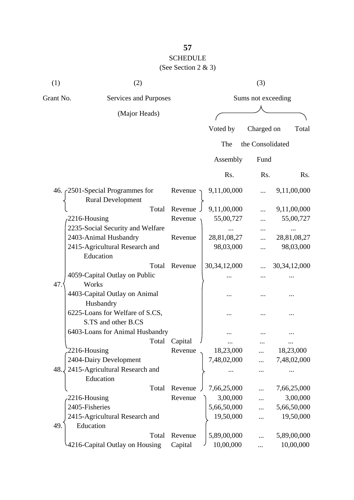## **57** SCHEDULE

| (1)       | (2)                                                    |               |                 | (3)                |                 |
|-----------|--------------------------------------------------------|---------------|-----------------|--------------------|-----------------|
| Grant No. | Services and Purposes                                  |               |                 | Sums not exceeding |                 |
|           | (Major Heads)                                          |               |                 |                    |                 |
|           |                                                        |               | Voted by        | Charged on         | Total           |
|           |                                                        |               | The             | the Consolidated   |                 |
|           |                                                        |               | Assembly        | Fund               |                 |
|           |                                                        |               | Rs.             | Rs.                | Rs.             |
|           | 46. $\zeta$ 2501-Special Programmes for                | Revenue       | 9,11,00,000     |                    | 9,11,00,000     |
|           | <b>Rural Development</b>                               |               |                 |                    |                 |
|           | Total                                                  | Revenue       | 9,11,00,000     |                    | 9,11,00,000     |
|           | 2216-Housing                                           | Revenue       | 55,00,727       |                    | 55,00,727       |
|           | 2235-Social Security and Welfare                       |               |                 |                    |                 |
|           | 2403-Animal Husbandry                                  | Revenue       | 28,81,08,27     |                    | 28,81,08,27     |
|           | 2415-Agricultural Research and<br>Education            |               | 98,03,000       |                    | 98,03,000       |
|           | Total                                                  | Revenue       | 30, 34, 12, 000 |                    | 30, 34, 12, 000 |
| 47.       | 4059-Capital Outlay on Public<br>Works                 |               |                 |                    |                 |
|           | 4403-Capital Outlay on Animal<br>Husbandry             |               |                 |                    |                 |
|           | 6225-Loans for Welfare of S.CS,<br>S.TS and other B.CS |               |                 |                    |                 |
|           | 6403-Loans for Animal Husbandry                        |               |                 |                    |                 |
|           |                                                        | Total Capital |                 | $\cdots$           |                 |
|           | 2216-Housing                                           | Revenue       | 18,23,000       |                    | 18,23,000       |
|           | 2404-Dairy Development                                 |               | 7,48,02,000     |                    | 7,48,02,000     |
| 48.       | 2415-Agricultural Research and<br>Education            |               |                 |                    |                 |
|           | Total                                                  | Revenue       | 7,66,25,000     |                    | 7,66,25,000     |
|           | 2216-Housing                                           | Revenue       | 3,00,000        |                    | 3,00,000        |
|           | 2405-Fisheries                                         |               | 5,66,50,000     |                    | 5,66,50,000     |
|           | 2415-Agricultural Research and                         |               | 19,50,000       |                    | 19,50,000       |
| 49.       | Education                                              |               |                 |                    |                 |
|           | Total                                                  | Revenue       | 5,89,00,000     |                    | 5,89,00,000     |
|           | 4216-Capital Outlay on Housing                         | Capital       | 10,00,000       |                    | 10,00,000       |
|           |                                                        |               |                 |                    |                 |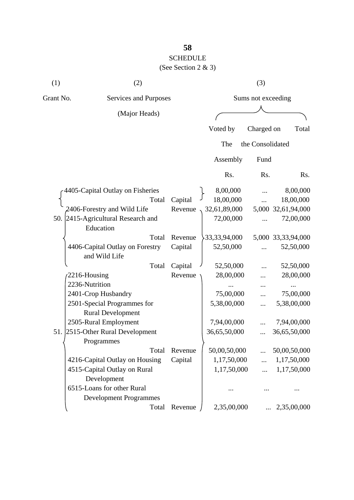## **58** SCHEDULE

| (1)       | (2)                                                     | (3)     |                    |                  |                    |  |
|-----------|---------------------------------------------------------|---------|--------------------|------------------|--------------------|--|
| Grant No. | Services and Purposes                                   |         | Sums not exceeding |                  |                    |  |
|           | (Major Heads)                                           |         |                    |                  |                    |  |
|           |                                                         |         | Voted by           | Charged on       | Total              |  |
|           |                                                         |         | The                | the Consolidated |                    |  |
|           |                                                         |         | Assembly           | Fund             |                    |  |
|           |                                                         |         | Rs.                | Rs.              | Rs.                |  |
|           | 4405-Capital Outlay on Fisheries                        |         | 8,00,000           |                  | 8,00,000           |  |
|           | Total                                                   | Capital | 18,00,000          |                  | 18,00,000          |  |
|           | 2406-Forestry and Wild Life                             | Revenue | 32,61,89,000       |                  | 5,000 32,61,94,000 |  |
|           | 50. 2415-Agricultural Research and<br>Education         |         | 72,00,000          |                  | 72,00,000          |  |
|           | Total                                                   | Revenue | 33, 33, 94, 000    |                  | 5,000 33,33,94,000 |  |
|           | 4406-Capital Outlay on Forestry<br>and Wild Life        | Capital | 52,50,000          |                  | 52,50,000          |  |
|           | Total                                                   | Capital | 52,50,000          |                  | 52,50,000          |  |
|           | 2216-Housing                                            | Revenue | 28,00,000          |                  | 28,00,000          |  |
|           | 2236-Nutrition                                          |         |                    |                  |                    |  |
|           | 2401-Crop Husbandry                                     |         | 75,00,000          |                  | 75,00,000          |  |
|           | 2501-Special Programmes for<br><b>Rural Development</b> |         | 5,38,00,000        |                  | 5,38,00,000        |  |
|           | 2505-Rural Employment                                   |         | 7,94,00,000        |                  | 7,94,00,000        |  |
| 51.       | 2515-Other Rural Development<br>Programmes              |         | 36,65,50,000       |                  | 36,65,50,000       |  |
|           | Total                                                   | Revenue | 50,00,50,000       |                  | 50,00,50,000       |  |
|           | 4216-Capital Outlay on Housing                          | Capital | 1,17,50,000        |                  | 1,17,50,000        |  |
|           | 4515-Capital Outlay on Rural                            |         | 1,17,50,000        |                  | 1,17,50,000        |  |
|           | Development                                             |         |                    |                  |                    |  |
|           | 6515-Loans for other Rural                              |         |                    |                  |                    |  |
|           | <b>Development Programmes</b>                           |         |                    |                  |                    |  |
|           | Total                                                   | Revenue | 2,35,00,000        |                  | 2,35,00,000        |  |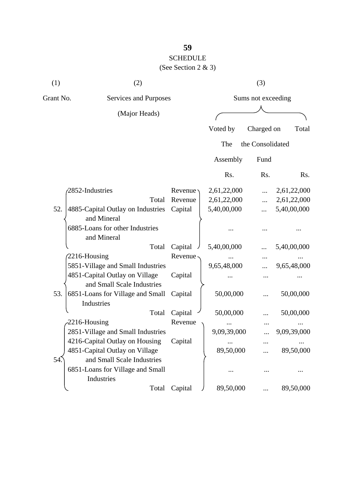# SCHEDULE

| (1)       | (2)                                              |         | (3)                |                  |             |  |
|-----------|--------------------------------------------------|---------|--------------------|------------------|-------------|--|
| Grant No. | Services and Purposes                            |         | Sums not exceeding |                  |             |  |
|           | (Major Heads)                                    |         |                    |                  |             |  |
|           |                                                  |         | Voted by           | Charged on       | Total       |  |
|           |                                                  |         | The                | the Consolidated |             |  |
|           |                                                  |         | Assembly           | Fund             |             |  |
|           |                                                  |         | Rs.                | Rs.              | Rs.         |  |
|           | 2852-Industries                                  | Revenue | 2,61,22,000        |                  | 2,61,22,000 |  |
|           | Total                                            | Revenue | 2,61,22,000        |                  | 2,61,22,000 |  |
| 52.       | 4885-Capital Outlay on Industries<br>and Mineral | Capital | 5,40,00,000        |                  | 5,40,00,000 |  |
|           | 6885-Loans for other Industries<br>and Mineral   |         |                    |                  |             |  |
|           | Total                                            | Capital | 5,40,00,000        |                  | 5,40,00,000 |  |
|           | 2216-Housing                                     | Revenue |                    |                  |             |  |
|           | 5851-Village and Small Industries                |         | 9,65,48,000        |                  | 9,65,48,000 |  |
|           | 4851-Capital Outlay on Village                   | Capital |                    |                  |             |  |
|           | and Small Scale Industries                       |         |                    |                  |             |  |
| 53.       | 6851-Loans for Village and Small<br>Industries   | Capital | 50,00,000          |                  | 50,00,000   |  |
|           | Total                                            | Capital | 50,00,000          |                  | 50,00,000   |  |
|           | 2216-Housing                                     | Revenue |                    |                  |             |  |
|           | 2851-Village and Small Industries                |         | 9,09,39,000        |                  | 9,09,39,000 |  |
|           | 4216-Capital Outlay on Housing                   | Capital |                    | $\ddotsc$        |             |  |
|           | 4851-Capital Outlay on Village                   |         | 89,50,000          |                  | 89,50,000   |  |
| 54.       | and Small Scale Industries                       |         |                    |                  |             |  |
|           | 6851-Loans for Village and Small<br>Industries   |         |                    |                  |             |  |
|           | Total                                            | Capital | 89,50,000          |                  | 89,50,000   |  |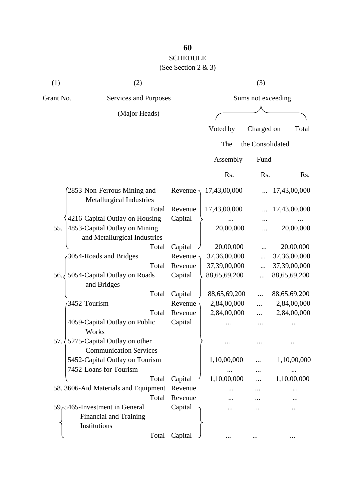## SCHEDULE

| (1)          | (2)                                                           |           |                    | (3)              |              |
|--------------|---------------------------------------------------------------|-----------|--------------------|------------------|--------------|
| Grant No.    | Services and Purposes                                         |           | Sums not exceeding |                  |              |
|              | (Major Heads)                                                 |           |                    |                  |              |
|              |                                                               |           | Voted by           | Charged on       | Total        |
|              |                                                               |           | The                | the Consolidated |              |
|              |                                                               |           | Assembly           | Fund             |              |
|              |                                                               |           | Rs.                | Rs.              | Rs.          |
|              | 2853-Non-Ferrous Mining and<br>Metallurgical Industries       | Revenue · | 17,43,00,000       |                  | 17,43,00,000 |
|              | Total                                                         | Revenue   | 17,43,00,000       |                  | 17,43,00,000 |
|              | 4216-Capital Outlay on Housing                                | Capital   |                    |                  |              |
| 55.          | 4853-Capital Outlay on Mining<br>and Metallurgical Industries |           | 20,00,000          |                  | 20,00,000    |
|              | Total                                                         | Capital   | 20,00,000          |                  | 20,00,000    |
|              | 3054-Roads and Bridges                                        | Revenue   | 37,36,00,000       |                  | 37,36,00,000 |
|              | Total                                                         | Revenue   | 37,39,00,000       |                  | 37,39,00,000 |
| 56.          | 5054-Capital Outlay on Roads<br>and Bridges                   | Capital   | 88,65,69,200       |                  | 88,65,69,200 |
|              | Total                                                         | Capital   | 88,65,69,200       |                  | 88,65,69,200 |
|              | 3452-Tourism                                                  | Revenue   | 2,84,00,000        |                  | 2,84,00,000  |
|              | Total                                                         | Revenue   | 2,84,00,000        |                  | 2,84,00,000  |
|              | 4059-Capital Outlay on Public<br>Works                        | Capital   |                    |                  |              |
| $57.\langle$ | 5275-Capital Outlay on other<br><b>Communication Services</b> |           |                    |                  |              |
|              | 5452-Capital Outlay on Tourism<br>7452-Loans for Tourism      |           | 1,10,00,000        |                  | 1,10,00,000  |
|              | Total                                                         | Capital   | 1,10,00,000        |                  | 1,10,00,000  |
|              | 58. 3606-Aid Materials and Equipment                          | Revenue   |                    |                  |              |
|              | Total                                                         | Revenue   |                    |                  |              |
|              | 59,5465-Investment in General                                 | Capital   |                    |                  |              |
|              | <b>Financial and Training</b><br>Institutions                 |           |                    |                  |              |
|              | Total                                                         | Capital   |                    |                  |              |
|              |                                                               |           |                    |                  |              |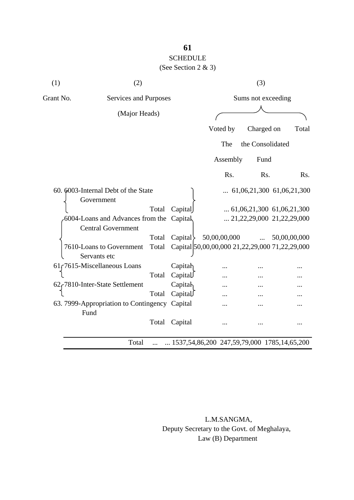## **61** SCHEDULE

## (See Section 2 & 3)

| (1)       | (2)                                                                   |       |                                                      |                    |              |  | (3)              |  |                                    |
|-----------|-----------------------------------------------------------------------|-------|------------------------------------------------------|--------------------|--------------|--|------------------|--|------------------------------------|
| Grant No. | Services and Purposes                                                 |       |                                                      | Sums not exceeding |              |  |                  |  |                                    |
|           | (Major Heads)                                                         |       |                                                      |                    |              |  |                  |  |                                    |
|           |                                                                       |       |                                                      |                    | Voted by     |  | Charged on       |  | Total                              |
|           |                                                                       |       |                                                      |                    | The          |  | the Consolidated |  |                                    |
|           |                                                                       |       |                                                      |                    | Assembly     |  | Fund             |  |                                    |
|           |                                                                       |       |                                                      |                    | Rs.          |  | Rs.              |  | Rs.                                |
|           | 60. 6003-Internal Debt of the State<br>Government                     |       |                                                      |                    |              |  |                  |  | $\ldots$ 61,06,21,300 61,06,21,300 |
|           |                                                                       | Total | Capital                                              |                    |              |  |                  |  | $\ldots$ 61,06,21,300 61,06,21,300 |
|           | 6004-Loans and Advances from the Capital<br><b>Central Government</b> |       |                                                      |                    |              |  |                  |  | $\ldots$ 21,22,29,000 21,22,29,000 |
|           |                                                                       | Total | Capital                                              |                    | 50,00,00,000 |  | $\cdots$         |  | 50,00,00,000                       |
|           | 7610-Loans to Government<br>Servants etc                              | Total | Capital 50,00,00,000 21,22,29,000 71,22,29,000       |                    |              |  |                  |  |                                    |
|           | 61 r 7615-Miscellaneous Loans                                         |       | Capitah                                              |                    |              |  |                  |  |                                    |
|           |                                                                       | Total | Capital                                              |                    |              |  |                  |  |                                    |
|           | 62 <sub>r</sub> 7810-Inter-State Settlement                           |       | Capitah                                              |                    |              |  |                  |  |                                    |
|           |                                                                       | Total | Capital                                              |                    |              |  |                  |  |                                    |
| Fund      | 63. 7999-Appropriation to Contingency Capital                         |       |                                                      |                    |              |  |                  |  |                                    |
|           |                                                                       | Total | Capital                                              |                    | $\ddotsc$    |  |                  |  |                                    |
|           | Total                                                                 |       | $\ldots$ 1537,54,86,200 247,59,79,000 1785,14,65,200 |                    |              |  |                  |  |                                    |

 L.M.SANGMA, Deputy Secretary to the Govt. of Meghalaya, Law (B) Department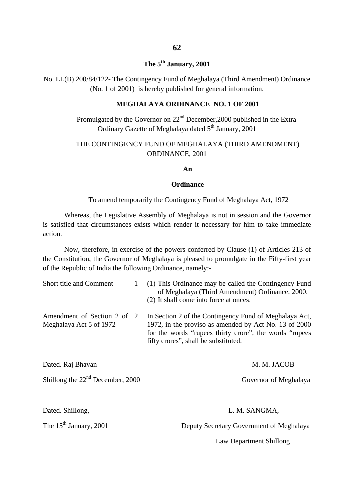### **The 5th January, 2001**

No. LL(B) 200/84/122- The Contingency Fund of Meghalaya (Third Amendment) Ordinance (No. 1 of 2001) is hereby published for general information.

#### **MEGHALAYA ORDINANCE NO. 1 OF 2001**

Promulgated by the Governor on  $22<sup>nd</sup>$  December, 2000 published in the Extra-Ordinary Gazette of Meghalaya dated 5<sup>th</sup> January, 2001

#### THE CONTINGENCY FUND OF MEGHALAYA (THIRD AMENDMENT) ORDINANCE, 2001

#### **An**

#### **Ordinance**

#### To amend temporarily the Contingency Fund of Meghalaya Act, 1972

Whereas, the Legislative Assembly of Meghalaya is not in session and the Governor is satisfied that circumstances exists which render it necessary for him to take immediate action.

Now, therefore, in exercise of the powers conferred by Clause (1) of Articles 213 of the Constitution, the Governor of Meghalaya is pleased to promulgate in the Fifty-first year of the Republic of India the following Ordinance, namely:-

| <b>Short title and Comment</b>                          | (1) This Ordinance may be called the Contingency Fund<br>of Meghalaya (Third Amendment) Ordinance, 2000.<br>(2) It shall come into force at onces.                                                                 |
|---------------------------------------------------------|--------------------------------------------------------------------------------------------------------------------------------------------------------------------------------------------------------------------|
| Amendment of Section 2 of 2<br>Meghalaya Act 5 of 1972  | In Section 2 of the Contingency Fund of Meghalaya Act,<br>1972, in the proviso as amended by Act No. 13 of 2000<br>for the words "rupees thirty crore", the words "rupees"<br>fifty crores", shall be substituted. |
| Dated. Raj Bhavan<br>Shillong the $22nd$ December, 2000 | M. M. JACOB<br>Governor of Meghalaya                                                                                                                                                                               |
|                                                         |                                                                                                                                                                                                                    |

#### Dated. Shillong, L. M. SANGMA,

The 15<sup>th</sup> January, 2001 Deputy Secretary Government of Meghalaya

#### Law Department Shillong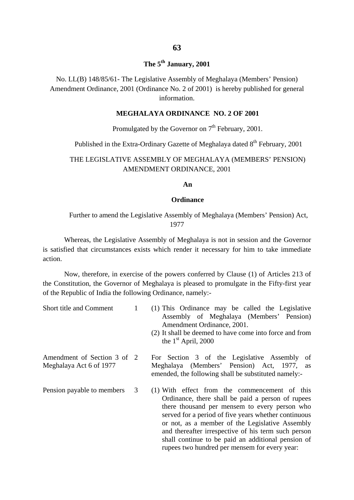### **The 5th January, 2001**

No. LL(B) 148/85/61- The Legislative Assembly of Meghalaya (Members' Pension) Amendment Ordinance, 2001 (Ordinance No. 2 of 2001) is hereby published for general information.

#### **MEGHALAYA ORDINANCE NO. 2 OF 2001**

### Promulgated by the Governor on  $7<sup>th</sup>$  February, 2001.

#### Published in the Extra-Ordinary Gazette of Meghalaya dated  $8<sup>th</sup>$  February, 2001

#### THE LEGISLATIVE ASSEMBLY OF MEGHALAYA (MEMBERS' PENSION) AMENDMENT ORDINANCE, 2001

**An**

#### **Ordinance**

#### Further to amend the Legislative Assembly of Meghalaya (Members' Pension) Act, 1977

Whereas, the Legislative Assembly of Meghalaya is not in session and the Governor is satisfied that circumstances exists which render it necessary for him to take immediate action.

Now, therefore, in exercise of the powers conferred by Clause (1) of Articles 213 of the Constitution, the Governor of Meghalaya is pleased to promulgate in the Fifty-first year of the Republic of India the following Ordinance, namely:-

| Short title and Comment                                |   | (1) This Ordinance may be called the Legislative<br>Assembly of Meghalaya (Members' Pension)<br>Amendment Ordinance, 2001.<br>(2) It shall be deemed to have come into force and from<br>the $1st$ April, 2000                                                                                                                                                                                                               |
|--------------------------------------------------------|---|------------------------------------------------------------------------------------------------------------------------------------------------------------------------------------------------------------------------------------------------------------------------------------------------------------------------------------------------------------------------------------------------------------------------------|
| Amendment of Section 3 of 2<br>Meghalaya Act 6 of 1977 |   | For Section 3 of the Legislative Assembly<br>of<br>Meghalaya (Members' Pension) Act, 1977, as<br>emended, the following shall be substituted namely:-                                                                                                                                                                                                                                                                        |
| Pension payable to members                             | 3 | (1) With effect from the commencement of this<br>Ordinance, there shall be paid a person of rupees<br>there thousand per mensem to every person who<br>served for a period of five years whether continuous<br>or not, as a member of the Legislative Assembly<br>and thereafter irrespective of his term such person<br>shall continue to be paid an additional pension of<br>rupees two hundred per mensem for every year: |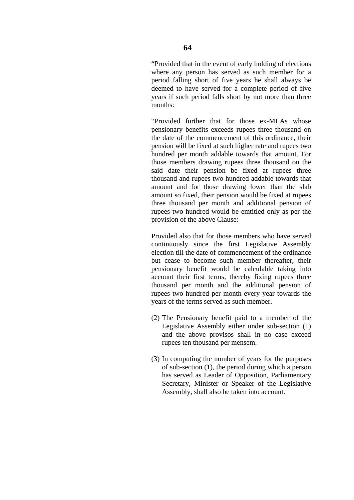years if such period falls short by not more than three

"Provided further that for those ex-MLAs whose pensionary benefits exceeds rupees three thousand on the date of the commencement of this ordinance, their pension will be fixed at such higher rate and rupees two hundred per month addable towards that amount. For those members drawing rupees three thousand on the said date their pension be fixed at rupees three thousand and rupees two hundred addable towards that amount and for those drawing lower than the slab amount so fixed, their pension would be fixed at rupees three thousand per month and additional pension of rupees two hundred would be emtitled only as per the provision of the above Clause:

Provided also that for those members who have served continuously since the first Legislative Assembly election till the date of commencement of the ordinance but cease to become such member thereafter, their pensionary benefit would be calculable taking into account their first terms, thereby fixing rupees three thousand per month and the additional pension of rupees two hundred per month every year towards the years of the terms served as such member.

- (2) The Pensionary benefit paid to a member of the Legislative Assembly either under sub-section (1) and the above provisos shall in no case exceed rupees ten thousand per mensem.
- (3) In computing the number of years for the purposes of sub-section (1), the period during which a person has served as Leader of Opposition, Parliamentary Secretary, Minister or Speaker of the Legislative Assembly, shall also be taken into account.

months: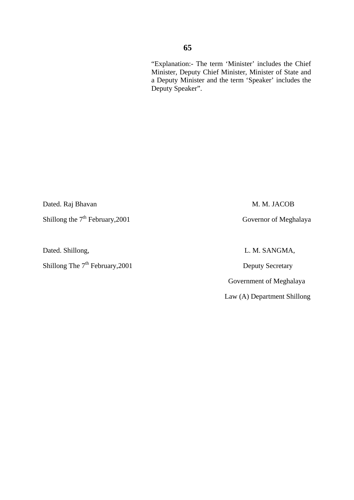Dated. Raj Bhavan M. M. JACOB

Shillong the 7<sup>th</sup> February, 2001 Governor of Meghalaya

Dated. Shillong, L. M. SANGMA,

Shillong The 7<sup>th</sup> February, 2001 Deputy Secretary

Government of Meghalaya

Law (A) Department Shillong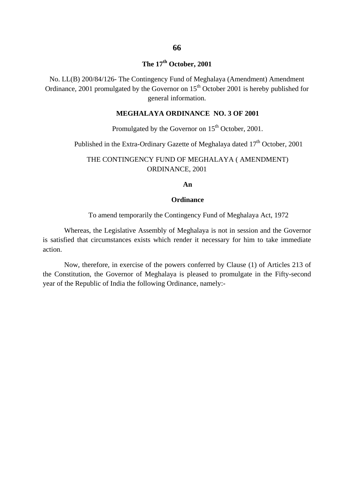### **The 17th October, 2001**

No. LL(B) 200/84/126- The Contingency Fund of Meghalaya (Amendment) Amendment Ordinance, 2001 promulgated by the Governor on  $15<sup>th</sup>$  October 2001 is hereby published for general information.

#### **MEGHALAYA ORDINANCE NO. 3 OF 2001**

## Promulgated by the Governor on 15<sup>th</sup> October, 2001.

Published in the Extra-Ordinary Gazette of Meghalaya dated 17<sup>th</sup> October, 2001

#### THE CONTINGENCY FUND OF MEGHALAYA ( AMENDMENT) ORDINANCE, 2001

**An**

#### **Ordinance**

To amend temporarily the Contingency Fund of Meghalaya Act, 1972

Whereas, the Legislative Assembly of Meghalaya is not in session and the Governor is satisfied that circumstances exists which render it necessary for him to take immediate action.

Now, therefore, in exercise of the powers conferred by Clause (1) of Articles 213 of the Constitution, the Governor of Meghalaya is pleased to promulgate in the Fifty-second year of the Republic of India the following Ordinance, namely:-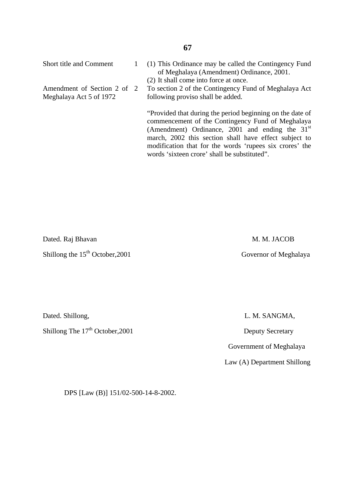Short title and Comment

Amendment of Section 2 of 2 Meghalaya Act 5 of 1972

1

- (1) This Ordinance may be called the Contingency Fund of Meghalaya (Amendment) Ordinance, 2001.
- (2) It shall come into force at once.

To section 2 of the Contingency Fund of Meghalaya Act following proviso shall be added.

"Provided that during the period beginning on the date of commencement of the Contingency Fund of Meghalaya (Amendment) Ordinance,  $2001$  and ending the  $31<sup>st</sup>$ march, 2002 this section shall have effect subject to modification that for the words 'rupees six crores' the words 'sixteen crore' shall be substituted".

Dated. Raj Bhavan M. M. JACOB Shillong the 15<sup>th</sup> October, 2001 Governor of Meghalaya

Dated. Shillong, L. M. SANGMA,

Shillong The  $17<sup>th</sup>$  October, 2001 Deputy Secretary

Government of Meghalaya

Law (A) Department Shillong

DPS [Law (B)] 151/02-500-14-8-2002.